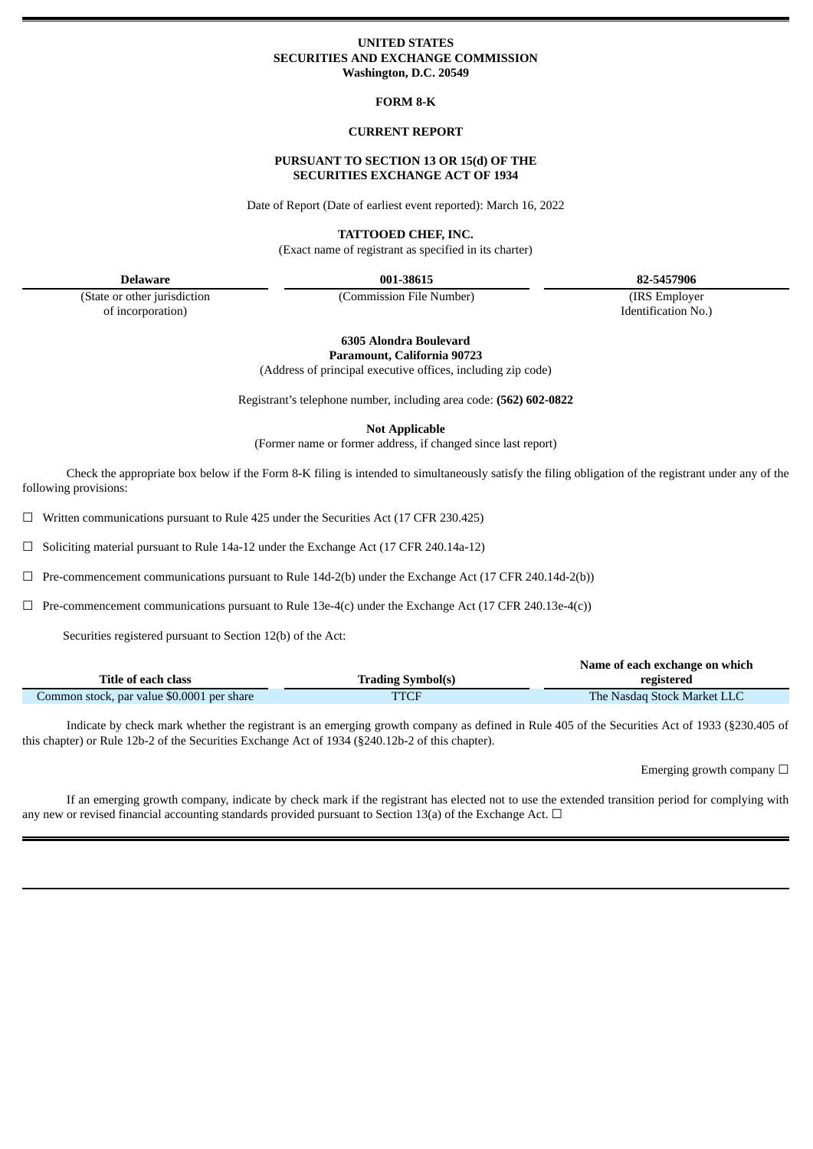## **UNITED STATES SECURITIES AND EXCHANGE COMMISSION Washington, D.C. 20549**

**FORM 8-K**

## **CURRENT REPORT**

## **PURSUANT TO SECTION 13 OR 15(d) OF THE SECURITIES EXCHANGE ACT OF 1934**

Date of Report (Date of earliest event reported): March 16, 2022

**TATTOOED CHEF, INC.**

(Exact name of registrant as specified in its charter)

of incorporation) Identification No.)

(State or other jurisdiction (Commission File Number) (IRS Employer

**Delaware 001-38615 82-5457906**

**6305 Alondra Boulevard Paramount, California 90723**

(Address of principal executive offices, including zip code)

Registrant's telephone number, including area code: **(562) 602-0822**

**Not Applicable**

(Former name or former address, if changed since last report)

Check the appropriate box below if the Form 8-K filing is intended to simultaneously satisfy the filing obligation of the registrant under any of the following provisions:

 $\Box$  Written communications pursuant to Rule 425 under the Securities Act (17 CFR 230.425)

 $\Box$  Soliciting material pursuant to Rule 14a-12 under the Exchange Act (17 CFR 240.14a-12)

 $\Box$  Pre-commencement communications pursuant to Rule 14d-2(b) under the Exchange Act (17 CFR 240.14d-2(b))

 $\Box$  Pre-commencement communications pursuant to Rule 13e-4(c) under the Exchange Act (17 CFR 240.13e-4(c))

Securities registered pursuant to Section 12(b) of the Act:

|                                            |                          | Name of each exchange on which |
|--------------------------------------------|--------------------------|--------------------------------|
| Title of each class                        | <b>Trading Symbol(s)</b> | registered                     |
| Common stock, par value \$0.0001 per share | TTCF                     | The Nasdag Stock Market LLC    |

Indicate by check mark whether the registrant is an emerging growth company as defined in Rule 405 of the Securities Act of 1933 (§230.405 of this chapter) or Rule 12b-2 of the Securities Exchange Act of 1934 (§240.12b-2 of this chapter).

Emerging growth company  $\Box$ 

If an emerging growth company, indicate by check mark if the registrant has elected not to use the extended transition period for complying with any new or revised financial accounting standards provided pursuant to Section 13(a) of the Exchange Act.  $\Box$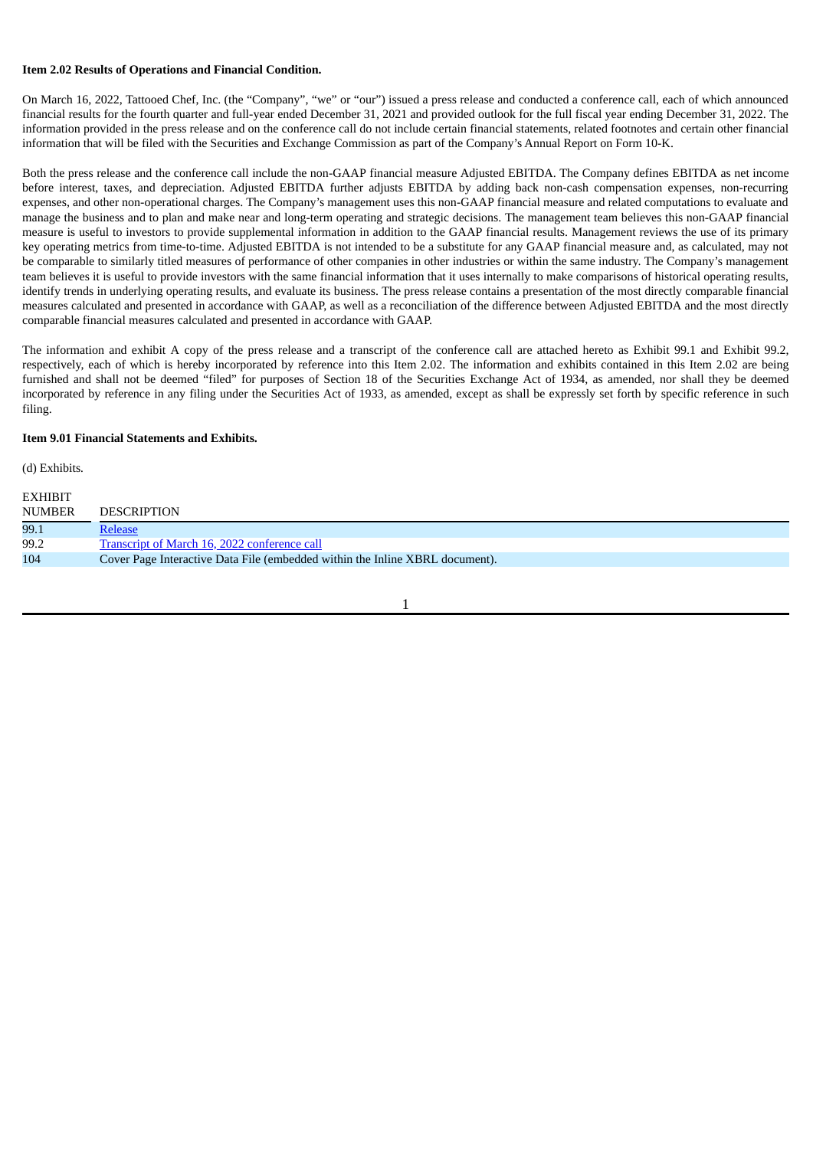#### **Item 2.02 Results of Operations and Financial Condition.**

On March 16, 2022, Tattooed Chef, Inc. (the "Company", "we" or "our") issued a press release and conducted a conference call, each of which announced financial results for the fourth quarter and full-year ended December 31, 2021 and provided outlook for the full fiscal year ending December 31, 2022. The information provided in the press release and on the conference call do not include certain financial statements, related footnotes and certain other financial information that will be filed with the Securities and Exchange Commission as part of the Company's Annual Report on Form 10-K.

Both the press release and the conference call include the non-GAAP financial measure Adjusted EBITDA. The Company defines EBITDA as net income before interest, taxes, and depreciation. Adjusted EBITDA further adjusts EBITDA by adding back non-cash compensation expenses, non-recurring expenses, and other non-operational charges. The Company's management uses this non-GAAP financial measure and related computations to evaluate and manage the business and to plan and make near and long-term operating and strategic decisions. The management team believes this non-GAAP financial measure is useful to investors to provide supplemental information in addition to the GAAP financial results. Management reviews the use of its primary key operating metrics from time-to-time. Adjusted EBITDA is not intended to be a substitute for any GAAP financial measure and, as calculated, may not be comparable to similarly titled measures of performance of other companies in other industries or within the same industry. The Company's management team believes it is useful to provide investors with the same financial information that it uses internally to make comparisons of historical operating results, identify trends in underlying operating results, and evaluate its business. The press release contains a presentation of the most directly comparable financial measures calculated and presented in accordance with GAAP, as well as a reconciliation of the difference between Adjusted EBITDA and the most directly comparable financial measures calculated and presented in accordance with GAAP.

The information and exhibit A copy of the press release and a transcript of the conference call are attached hereto as Exhibit 99.1 and Exhibit 99.2, respectively, each of which is hereby incorporated by reference into this Item 2.02. The information and exhibits contained in this Item 2.02 are being furnished and shall not be deemed "filed" for purposes of Section 18 of the Securities Exchange Act of 1934, as amended, nor shall they be deemed incorporated by reference in any filing under the Securities Act of 1933, as amended, except as shall be expressly set forth by specific reference in such filing.

#### **Item 9.01 Financial Statements and Exhibits.**

(d) Exhibits*.*

| <b>EXHIBIT</b><br>NUMBER | <b>DESCRIPTION</b>                                                           |
|--------------------------|------------------------------------------------------------------------------|
| 99.1                     | Release                                                                      |
| 99.2                     | Transcript of March 16, 2022 conference call                                 |
| 104                      | Cover Page Interactive Data File (embedded within the Inline XBRL document). |
|                          |                                                                              |

1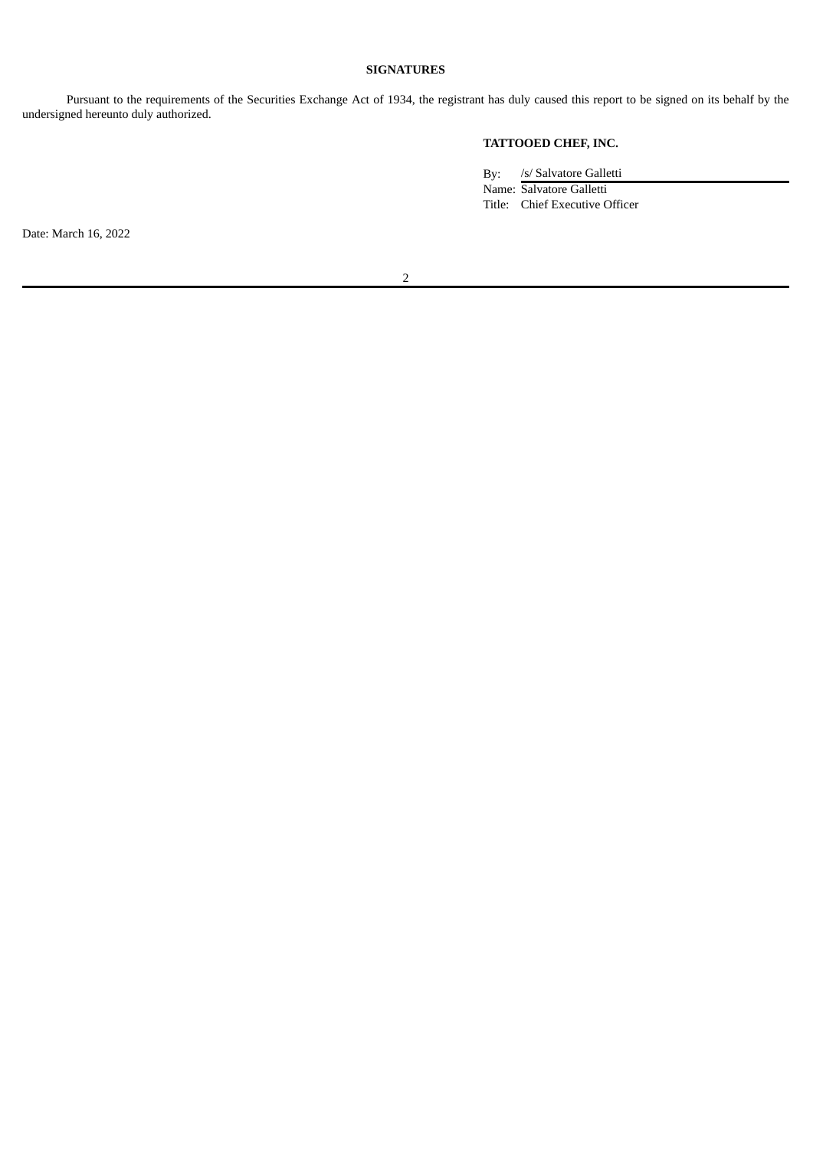## **SIGNATURES**

Pursuant to the requirements of the Securities Exchange Act of 1934, the registrant has duly caused this report to be signed on its behalf by the undersigned hereunto duly authorized.

# **TATTOOED CHEF, INC.**

By: /s/ Salvatore Galletti Name: Salvatore Galletti Title: Chief Executive Officer

Date: March 16, 2022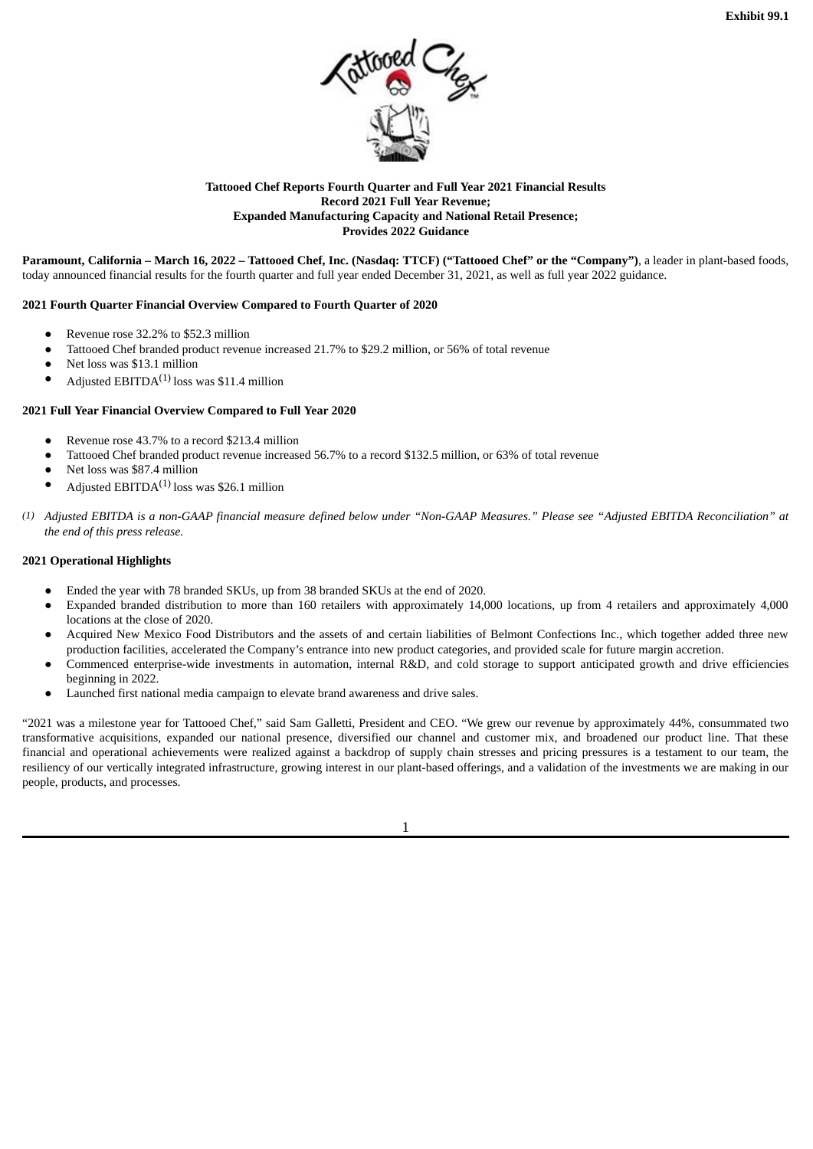

## **Tattooed Chef Reports Fourth Quarter and Full Year 2021 Financial Results Record 2021 Full Year Revenue; Expanded Manufacturing Capacity and National Retail Presence; Provides 2022 Guidance**

<span id="page-3-0"></span>Paramount, California - March 16, 2022 - Tattooed Chef, Inc. (Nasdaq: TTCF) ("Tattooed Chef" or the "Company"), a leader in plant-based foods, today announced financial results for the fourth quarter and full year ended December 31, 2021, as well as full year 2022 guidance.

## **2021 Fourth Quarter Financial Overview Compared to Fourth Quarter of 2020**

- Revenue rose 32.2% to \$52.3 million
- Tattooed Chef branded product revenue increased 21.7% to \$29.2 million, or 56% of total revenue
- Net loss was \$13.1 million
- Adjusted EBITDA<sup>(1)</sup> loss was \$11.4 million

#### **2021 Full Year Financial Overview Compared to Full Year 2020**

- Revenue rose 43.7% to a record \$213.4 million
- Tattooed Chef branded product revenue increased 56.7% to a record \$132.5 million, or 63% of total revenue
- Net loss was \$87.4 million
- Adjusted EBITDA<sup>(1)</sup> loss was \$26.1 million
- (1) Adjusted EBITDA is a non-GAAP financial measure defined below under "Non-GAAP Measures." Please see "Adjusted EBITDA Reconciliation" at *the end of this press release.*

## **2021 Operational Highlights**

- Ended the year with 78 branded SKUs, up from 38 branded SKUs at the end of 2020.
- Expanded branded distribution to more than 160 retailers with approximately 14,000 locations, up from 4 retailers and approximately 4,000 locations at the close of 2020.
- Acquired New Mexico Food Distributors and the assets of and certain liabilities of Belmont Confections Inc., which together added three new production facilities, accelerated the Company's entrance into new product categories, and provided scale for future margin accretion.
- Commenced enterprise-wide investments in automation, internal R&D, and cold storage to support anticipated growth and drive efficiencies beginning in 2022.
- Launched first national media campaign to elevate brand awareness and drive sales.

"2021 was a milestone year for Tattooed Chef," said Sam Galletti, President and CEO. "We grew our revenue by approximately 44%, consummated two transformative acquisitions, expanded our national presence, diversified our channel and customer mix, and broadened our product line. That these financial and operational achievements were realized against a backdrop of supply chain stresses and pricing pressures is a testament to our team, the resiliency of our vertically integrated infrastructure, growing interest in our plant-based offerings, and a validation of the investments we are making in our people, products, and processes.

1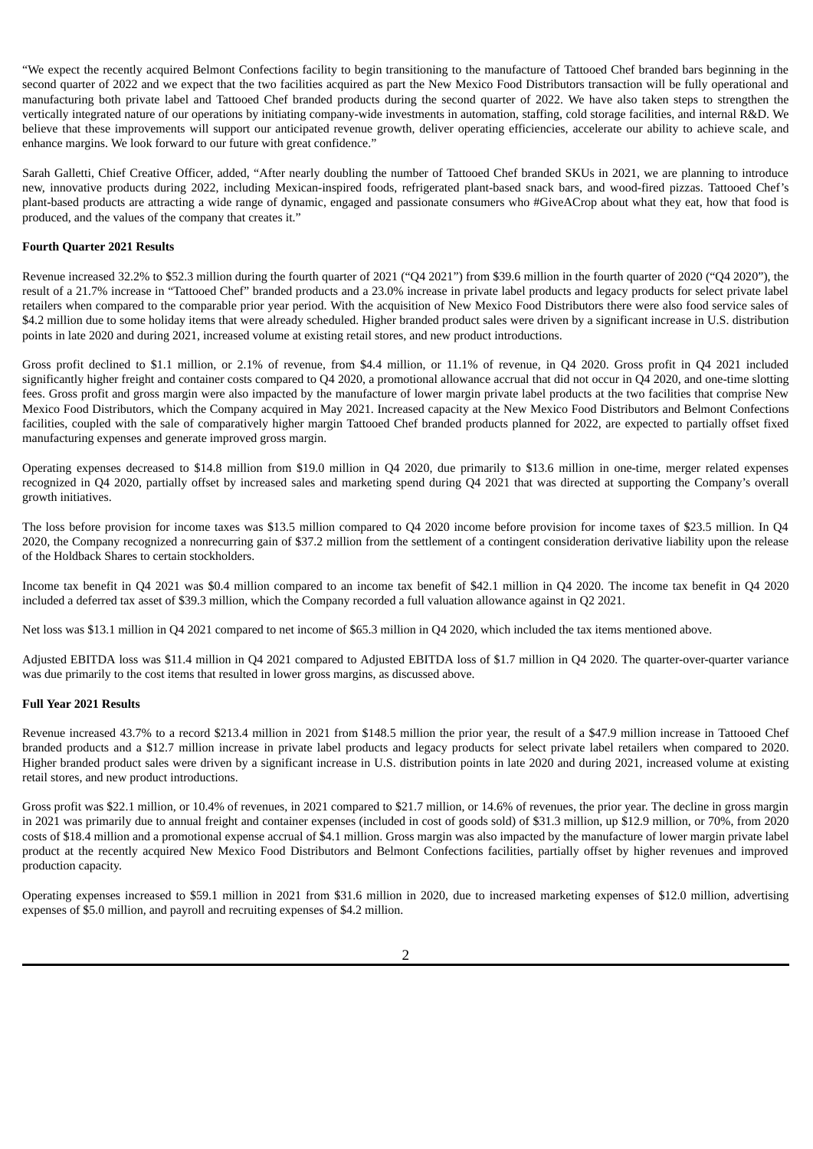"We expect the recently acquired Belmont Confections facility to begin transitioning to the manufacture of Tattooed Chef branded bars beginning in the second quarter of 2022 and we expect that the two facilities acquired as part the New Mexico Food Distributors transaction will be fully operational and manufacturing both private label and Tattooed Chef branded products during the second quarter of 2022. We have also taken steps to strengthen the vertically integrated nature of our operations by initiating company-wide investments in automation, staffing, cold storage facilities, and internal R&D. We believe that these improvements will support our anticipated revenue growth, deliver operating efficiencies, accelerate our ability to achieve scale, and enhance margins. We look forward to our future with great confidence."

Sarah Galletti, Chief Creative Officer, added, "After nearly doubling the number of Tattooed Chef branded SKUs in 2021, we are planning to introduce new, innovative products during 2022, including Mexican-inspired foods, refrigerated plant-based snack bars, and wood-fired pizzas. Tattooed Chef's plant-based products are attracting a wide range of dynamic, engaged and passionate consumers who #GiveACrop about what they eat, how that food is produced, and the values of the company that creates it."

## **Fourth Quarter 2021 Results**

Revenue increased 32.2% to \$52.3 million during the fourth quarter of 2021 ("Q4 2021") from \$39.6 million in the fourth quarter of 2020 ("Q4 2020"), the result of a 21.7% increase in "Tattooed Chef" branded products and a 23.0% increase in private label products and legacy products for select private label retailers when compared to the comparable prior year period. With the acquisition of New Mexico Food Distributors there were also food service sales of \$4.2 million due to some holiday items that were already scheduled. Higher branded product sales were driven by a significant increase in U.S. distribution points in late 2020 and during 2021, increased volume at existing retail stores, and new product introductions.

Gross profit declined to \$1.1 million, or 2.1% of revenue, from \$4.4 million, or 11.1% of revenue, in Q4 2020. Gross profit in Q4 2021 included significantly higher freight and container costs compared to Q4 2020, a promotional allowance accrual that did not occur in Q4 2020, and one-time slotting fees. Gross profit and gross margin were also impacted by the manufacture of lower margin private label products at the two facilities that comprise New Mexico Food Distributors, which the Company acquired in May 2021. Increased capacity at the New Mexico Food Distributors and Belmont Confections facilities, coupled with the sale of comparatively higher margin Tattooed Chef branded products planned for 2022, are expected to partially offset fixed manufacturing expenses and generate improved gross margin.

Operating expenses decreased to \$14.8 million from \$19.0 million in Q4 2020, due primarily to \$13.6 million in one-time, merger related expenses recognized in Q4 2020, partially offset by increased sales and marketing spend during Q4 2021 that was directed at supporting the Company's overall growth initiatives.

The loss before provision for income taxes was \$13.5 million compared to Q4 2020 income before provision for income taxes of \$23.5 million. In Q4 2020, the Company recognized a nonrecurring gain of \$37.2 million from the settlement of a contingent consideration derivative liability upon the release of the Holdback Shares to certain stockholders.

Income tax benefit in Q4 2021 was \$0.4 million compared to an income tax benefit of \$42.1 million in Q4 2020. The income tax benefit in Q4 2020 included a deferred tax asset of \$39.3 million, which the Company recorded a full valuation allowance against in Q2 2021.

Net loss was \$13.1 million in Q4 2021 compared to net income of \$65.3 million in Q4 2020, which included the tax items mentioned above.

Adjusted EBITDA loss was \$11.4 million in Q4 2021 compared to Adjusted EBITDA loss of \$1.7 million in Q4 2020. The quarter-over-quarter variance was due primarily to the cost items that resulted in lower gross margins, as discussed above.

#### **Full Year 2021 Results**

Revenue increased 43.7% to a record \$213.4 million in 2021 from \$148.5 million the prior year, the result of a \$47.9 million increase in Tattooed Chef branded products and a \$12.7 million increase in private label products and legacy products for select private label retailers when compared to 2020. Higher branded product sales were driven by a significant increase in U.S. distribution points in late 2020 and during 2021, increased volume at existing retail stores, and new product introductions.

Gross profit was \$22.1 million, or 10.4% of revenues, in 2021 compared to \$21.7 million, or 14.6% of revenues, the prior year. The decline in gross margin in 2021 was primarily due to annual freight and container expenses (included in cost of goods sold) of \$31.3 million, up \$12.9 million, or 70%, from 2020 costs of \$18.4 million and a promotional expense accrual of \$4.1 million. Gross margin was also impacted by the manufacture of lower margin private label product at the recently acquired New Mexico Food Distributors and Belmont Confections facilities, partially offset by higher revenues and improved production capacity.

Operating expenses increased to \$59.1 million in 2021 from \$31.6 million in 2020, due to increased marketing expenses of \$12.0 million, advertising expenses of \$5.0 million, and payroll and recruiting expenses of \$4.2 million.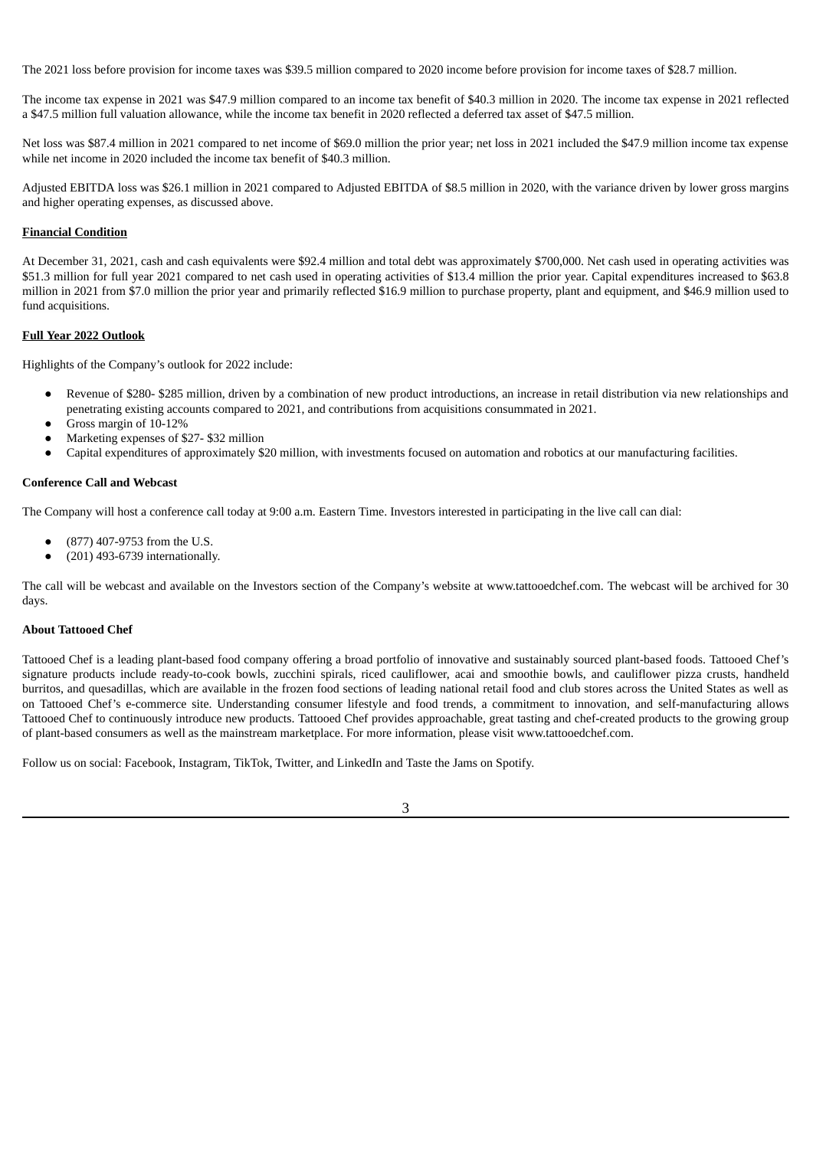The 2021 loss before provision for income taxes was \$39.5 million compared to 2020 income before provision for income taxes of \$28.7 million.

The income tax expense in 2021 was \$47.9 million compared to an income tax benefit of \$40.3 million in 2020. The income tax expense in 2021 reflected a \$47.5 million full valuation allowance, while the income tax benefit in 2020 reflected a deferred tax asset of \$47.5 million.

Net loss was \$87.4 million in 2021 compared to net income of \$69.0 million the prior year; net loss in 2021 included the \$47.9 million income tax expense while net income in 2020 included the income tax benefit of \$40.3 million.

Adjusted EBITDA loss was \$26.1 million in 2021 compared to Adjusted EBITDA of \$8.5 million in 2020, with the variance driven by lower gross margins and higher operating expenses, as discussed above.

## **Financial Condition**

At December 31, 2021, cash and cash equivalents were \$92.4 million and total debt was approximately \$700,000. Net cash used in operating activities was \$51.3 million for full year 2021 compared to net cash used in operating activities of \$13.4 million the prior year. Capital expenditures increased to \$63.8 million in 2021 from \$7.0 million the prior year and primarily reflected \$16.9 million to purchase property, plant and equipment, and \$46.9 million used to fund acquisitions.

## **Full Year 2022 Outlook**

Highlights of the Company's outlook for 2022 include:

- Revenue of \$280- \$285 million, driven by a combination of new product introductions, an increase in retail distribution via new relationships and penetrating existing accounts compared to 2021, and contributions from acquisitions consummated in 2021.
- Gross margin of 10-12%
- Marketing expenses of \$27- \$32 million
- Capital expenditures of approximately \$20 million, with investments focused on automation and robotics at our manufacturing facilities.

## **Conference Call and Webcast**

The Company will host a conference call today at 9:00 a.m. Eastern Time. Investors interested in participating in the live call can dial:

- (877) 407-9753 from the U.S.
- (201) 493-6739 internationally.

The call will be webcast and available on the Investors section of the Company's website at www.tattooedchef.com. The webcast will be archived for 30 days.

## **About Tattooed Chef**

Tattooed Chef is a leading plant-based food company offering a broad portfolio of innovative and sustainably sourced plant-based foods. Tattooed Chef's signature products include ready-to-cook bowls, zucchini spirals, riced cauliflower, acai and smoothie bowls, and cauliflower pizza crusts, handheld burritos, and quesadillas, which are available in the frozen food sections of leading national retail food and club stores across the United States as well as on Tattooed Chef's e-commerce site. Understanding consumer lifestyle and food trends, a commitment to innovation, and self-manufacturing allows Tattooed Chef to continuously introduce new products. Tattooed Chef provides approachable, great tasting and chef-created products to the growing group of plant-based consumers as well as the mainstream marketplace. For more information, please visit www.tattooedchef.com.

Follow us on social: Facebook, Instagram, TikTok, Twitter, and LinkedIn and Taste the Jams on Spotify.

|   | ÷<br>×,     |  |
|---|-------------|--|
|   |             |  |
|   | <b>SALE</b> |  |
| × | ۰.<br>v     |  |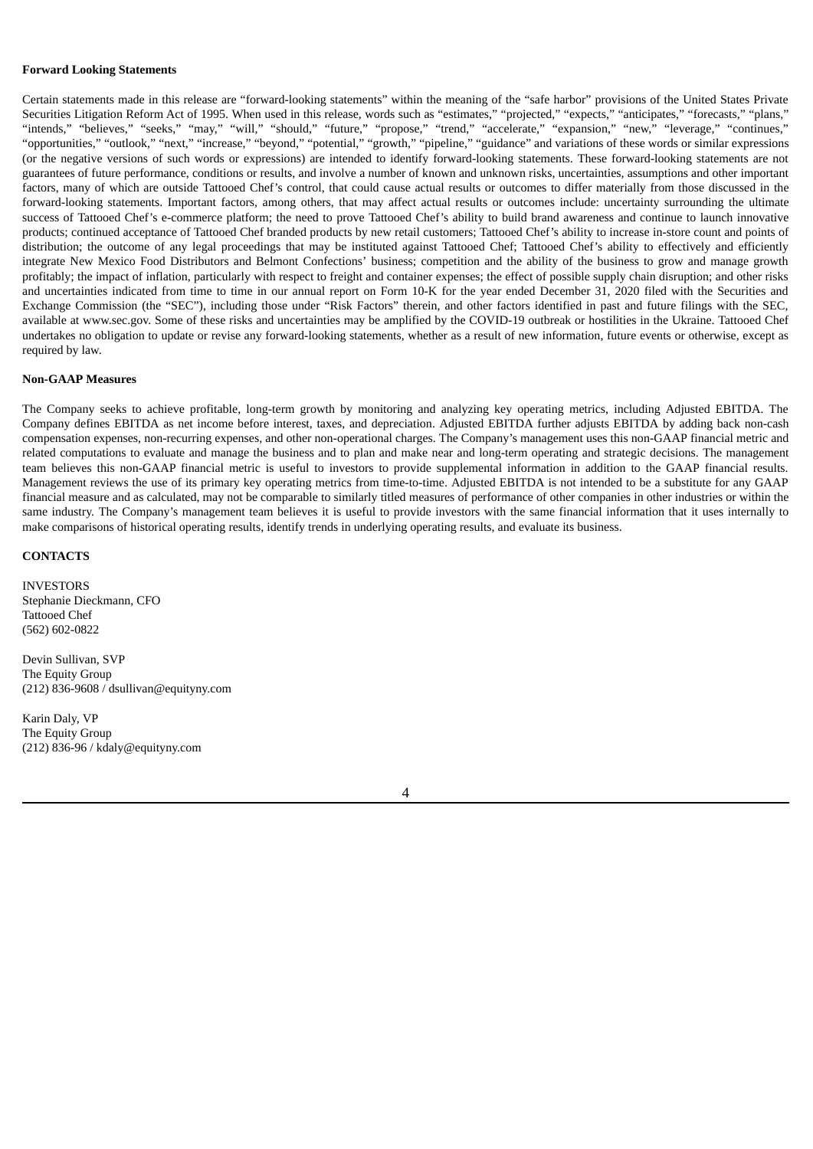#### **Forward Looking Statements**

Certain statements made in this release are "forward-looking statements" within the meaning of the "safe harbor" provisions of the United States Private Securities Litigation Reform Act of 1995. When used in this release, words such as "estimates," "projected," "expects," "anticipates," "forecasts," "plans," "intends," "believes," "seeks," "may," "will," "should," "future," "propose," "trend," "accelerate," "expansion," "new," "leverage," "continues," "opportunities," "outlook," "next," "increase," "beyond," "potential," "growth," "pipeline," "guidance" and variations of these words or similar expressions (or the negative versions of such words or expressions) are intended to identify forward-looking statements. These forward-looking statements are not guarantees of future performance, conditions or results, and involve a number of known and unknown risks, uncertainties, assumptions and other important factors, many of which are outside Tattooed Chef's control, that could cause actual results or outcomes to differ materially from those discussed in the forward-looking statements. Important factors, among others, that may affect actual results or outcomes include: uncertainty surrounding the ultimate success of Tattooed Chef's e-commerce platform; the need to prove Tattooed Chef's ability to build brand awareness and continue to launch innovative products; continued acceptance of Tattooed Chef branded products by new retail customers; Tattooed Chef's ability to increase in-store count and points of distribution; the outcome of any legal proceedings that may be instituted against Tattooed Chef; Tattooed Chef's ability to effectively and efficiently integrate New Mexico Food Distributors and Belmont Confections' business; competition and the ability of the business to grow and manage growth profitably; the impact of inflation, particularly with respect to freight and container expenses; the effect of possible supply chain disruption; and other risks and uncertainties indicated from time to time in our annual report on Form 10-K for the year ended December 31, 2020 filed with the Securities and Exchange Commission (the "SEC"), including those under "Risk Factors" therein, and other factors identified in past and future filings with the SEC, available at www.sec.gov. Some of these risks and uncertainties may be amplified by the COVID-19 outbreak or hostilities in the Ukraine. Tattooed Chef undertakes no obligation to update or revise any forward-looking statements, whether as a result of new information, future events or otherwise, except as required by law.

#### **Non-GAAP Measures**

The Company seeks to achieve profitable, long-term growth by monitoring and analyzing key operating metrics, including Adjusted EBITDA. The Company defines EBITDA as net income before interest, taxes, and depreciation. Adjusted EBITDA further adjusts EBITDA by adding back non-cash compensation expenses, non-recurring expenses, and other non-operational charges. The Company's management uses this non-GAAP financial metric and related computations to evaluate and manage the business and to plan and make near and long-term operating and strategic decisions. The management team believes this non-GAAP financial metric is useful to investors to provide supplemental information in addition to the GAAP financial results. Management reviews the use of its primary key operating metrics from time-to-time. Adjusted EBITDA is not intended to be a substitute for any GAAP financial measure and as calculated, may not be comparable to similarly titled measures of performance of other companies in other industries or within the same industry. The Company's management team believes it is useful to provide investors with the same financial information that it uses internally to make comparisons of historical operating results, identify trends in underlying operating results, and evaluate its business.

#### **CONTACTS**

INVESTORS Stephanie Dieckmann, CFO Tattooed Chef (562) 602-0822

Devin Sullivan, SVP The Equity Group (212) 836-9608 / dsullivan@equityny.com

Karin Daly, VP The Equity Group (212) 836-96 / kdaly@equityny.com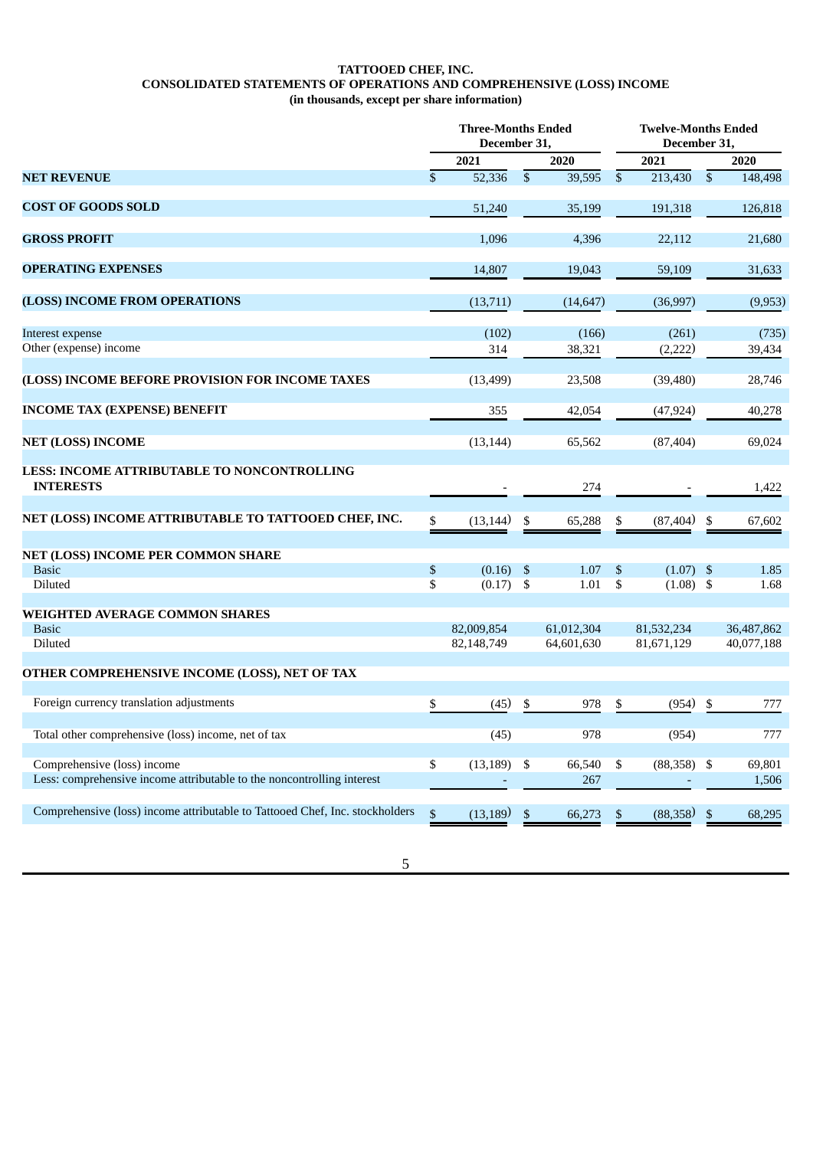### **TATTOOED CHEF, INC. CONSOLIDATED STATEMENTS OF OPERATIONS AND COMPREHENSIVE (LOSS) INCOME (in thousands, except per share information)**

|                                                                              | <b>Three-Months Ended</b><br>December 31, |                  |                 |                 | <b>Twelve-Months Ended</b><br>December 31. |                            |                           |                 |
|------------------------------------------------------------------------------|-------------------------------------------|------------------|-----------------|-----------------|--------------------------------------------|----------------------------|---------------------------|-----------------|
|                                                                              |                                           | 2021             |                 | 2020            |                                            | 2021                       |                           | 2020            |
| <b>NET REVENUE</b>                                                           | $\mathbb{S}$                              | 52,336           | $\overline{\$}$ | 39,595          | $\overline{\$}$                            | 213,430                    | $\overline{\$}$           | 148,498         |
| <b>COST OF GOODS SOLD</b>                                                    |                                           | 51,240           |                 | 35,199          |                                            | 191,318                    |                           | 126,818         |
| <b>GROSS PROFIT</b>                                                          |                                           | 1,096            |                 | 4,396           |                                            | 22,112                     |                           | 21,680          |
| <b>OPERATING EXPENSES</b>                                                    |                                           | 14,807           |                 | 19,043          |                                            | 59,109                     |                           | 31,633          |
| (LOSS) INCOME FROM OPERATIONS                                                |                                           | (13,711)         |                 | (14, 647)       |                                            | (36,997)                   |                           | (9,953)         |
| Interest expense<br>Other (expense) income                                   |                                           | (102)<br>314     |                 | (166)<br>38,321 |                                            | (261)<br>(2,222)           |                           | (735)<br>39,434 |
|                                                                              |                                           |                  |                 |                 |                                            |                            |                           |                 |
| (LOSS) INCOME BEFORE PROVISION FOR INCOME TAXES                              |                                           | (13, 499)        |                 | 23,508          |                                            | (39, 480)                  |                           | 28,746          |
| <b>INCOME TAX (EXPENSE) BENEFIT</b>                                          |                                           | 355              |                 | 42,054          |                                            | (47, 924)                  |                           | 40,278          |
| <b>NET (LOSS) INCOME</b>                                                     |                                           | (13, 144)        |                 | 65,562          |                                            | (87, 404)                  |                           | 69,024          |
| LESS: INCOME ATTRIBUTABLE TO NONCONTROLLING<br><b>INTERESTS</b>              |                                           |                  |                 | 274             |                                            |                            |                           | 1,422           |
| NET (LOSS) INCOME ATTRIBUTABLE TO TATTOOED CHEF, INC.                        | \$                                        | (13, 144)        | \$              | 65,288          | \$                                         | (87, 404)                  | $\boldsymbol{\mathsf{S}}$ | 67,602          |
| NET (LOSS) INCOME PER COMMON SHARE                                           |                                           |                  |                 |                 |                                            |                            |                           |                 |
| <b>Basic</b><br>Diluted                                                      | \$<br>\$                                  | (0.16)<br>(0.17) | \$<br>\$        | 1.07<br>1.01    | \$<br>\$                                   | $(1.07)$ \$<br>$(1.08)$ \$ |                           | 1.85<br>1.68    |
|                                                                              |                                           |                  |                 |                 |                                            |                            |                           |                 |
| <b>WEIGHTED AVERAGE COMMON SHARES</b><br><b>Basic</b>                        |                                           | 82,009,854       |                 | 61,012,304      |                                            | 81,532,234                 |                           | 36,487,862      |
| Diluted                                                                      |                                           | 82,148,749       |                 | 64,601,630      |                                            | 81,671,129                 |                           | 40,077,188      |
| OTHER COMPREHENSIVE INCOME (LOSS), NET OF TAX                                |                                           |                  |                 |                 |                                            |                            |                           |                 |
| Foreign currency translation adjustments                                     | \$                                        | (45)             | \$              | 978             | \$                                         | (954)                      | \$                        | 777             |
| Total other comprehensive (loss) income, net of tax                          |                                           | (45)             |                 | 978             |                                            | (954)                      |                           | 777             |
| Comprehensive (loss) income                                                  | \$                                        | (13, 189)        | \$              | 66,540          | \$                                         | $(88,358)$ \$              |                           | 69,801          |
| Less: comprehensive income attributable to the noncontrolling interest       |                                           |                  |                 | 267             |                                            |                            |                           | 1,506           |
| Comprehensive (loss) income attributable to Tattooed Chef, Inc. stockholders | \$                                        | (13, 189)        | \$              | 66,273          | \$                                         | (88,358)                   | \$                        | 68,295          |

5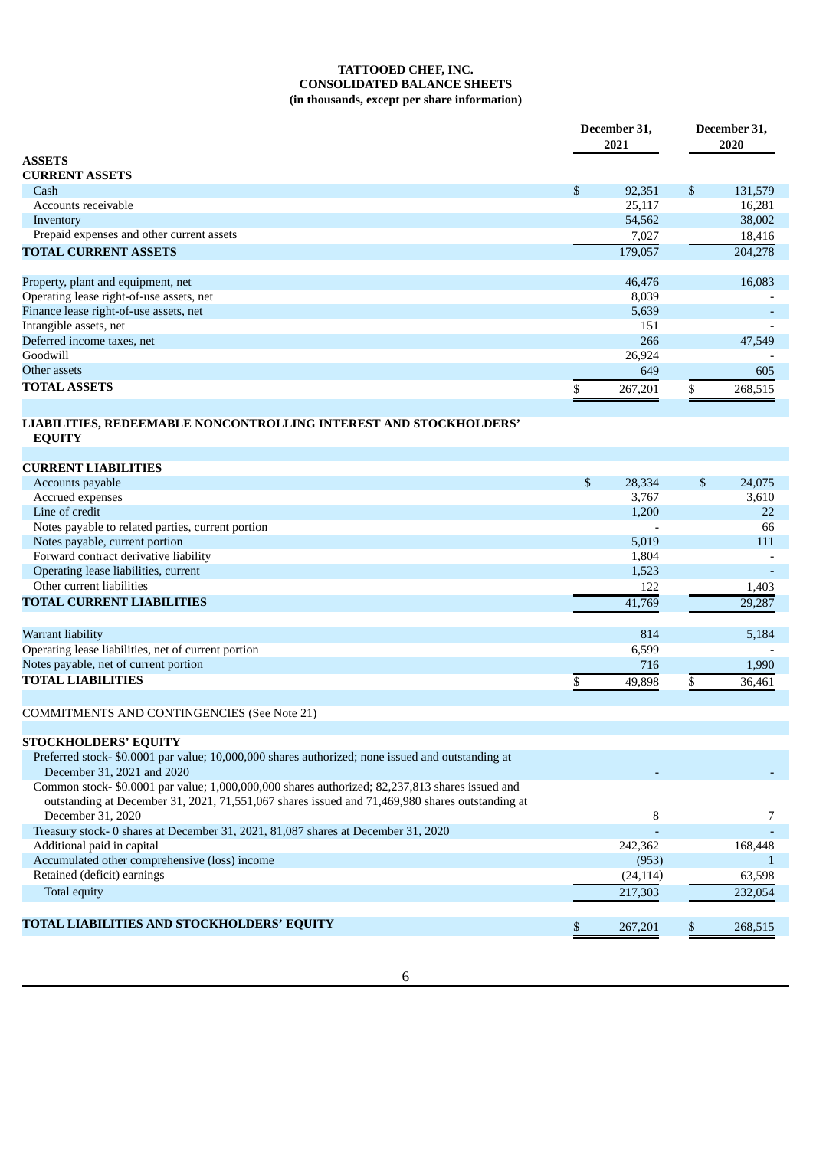## **TATTOOED CHEF, INC. CONSOLIDATED BALANCE SHEETS (in thousands, except per share information)**

|                                           | December 31,<br>2021 |         | December 31,<br>2020     |
|-------------------------------------------|----------------------|---------|--------------------------|
| <b>ASSETS</b>                             |                      |         |                          |
| <b>CURRENT ASSETS</b>                     |                      |         |                          |
| Cash                                      | $\mathfrak{S}$       | 92,351  | \$<br>131,579            |
| Accounts receivable                       |                      | 25,117  | 16,281                   |
| Inventory                                 |                      | 54,562  | 38,002                   |
| Prepaid expenses and other current assets |                      | 7,027   | 18,416                   |
| <b>TOTAL CURRENT ASSETS</b>               |                      | 179,057 | 204,278                  |
| Property, plant and equipment, net        |                      | 46,476  | 16,083                   |
| Operating lease right-of-use assets, net  |                      | 8,039   | $\overline{\phantom{a}}$ |
| Finance lease right-of-use assets, net    |                      | 5,639   |                          |
| Intangible assets, net                    |                      | 151     |                          |
| Deferred income taxes, net                |                      | 266     | 47,549                   |
| Goodwill                                  |                      | 26,924  |                          |
| Other assets                              |                      | 649     | 605                      |
| <b>TOTAL ASSETS</b>                       |                      | 267,201 | 268,515                  |

## **LIABILITIES, REDEEMABLE NONCONTROLLING INTEREST AND STOCKHOLDERS' EQUITY**

| <b>CURRENT LIABILITIES</b>                          |              |              |
|-----------------------------------------------------|--------------|--------------|
| Accounts payable                                    | \$<br>28,334 | \$<br>24,075 |
| Accrued expenses                                    | 3,767        | 3,610        |
| Line of credit                                      | 1,200        | 22           |
| Notes payable to related parties, current portion   |              | 66           |
| Notes payable, current portion                      | 5,019        | 111          |
| Forward contract derivative liability               | 1,804        |              |
| Operating lease liabilities, current                | 1,523        |              |
| Other current liabilities                           | 122          | 1,403        |
| <b>TOTAL CURRENT LIABILITIES</b>                    | 41,769       | 29,287       |
|                                                     |              |              |
| Warrant liability                                   | 814          | 5,184        |
| Operating lease liabilities, net of current portion | 6,599        |              |
| Notes payable, net of current portion               | 716          | 1,990        |
| <b>TOTAL LIABILITIES</b>                            | 49,898       | 36,461       |
|                                                     |              |              |

## COMMITMENTS AND CONTINGENCIES (See Note 21)

## **STOCKHOLDERS' EQUITY**

| Preferred stock-\$0.0001 par value; 10,000,000 shares authorized; none issued and outstanding at |           |         |
|--------------------------------------------------------------------------------------------------|-----------|---------|
| December 31, 2021 and 2020                                                                       |           |         |
| Common stock- \$0.0001 par value; 1,000,000,000 shares authorized; 82,237,813 shares issued and  |           |         |
| outstanding at December 31, 2021, 71,551,067 shares issued and 71,469,980 shares outstanding at  |           |         |
| December 31, 2020                                                                                | 8         |         |
| Treasury stock- 0 shares at December 31, 2021, 81,087 shares at December 31, 2020                |           |         |
| Additional paid in capital                                                                       | 242,362   | 168,448 |
| Accumulated other comprehensive (loss) income                                                    | (953)     |         |
| Retained (deficit) earnings                                                                      | (24, 114) | 63,598  |
| Total equity                                                                                     | 217,303   | 232,054 |
|                                                                                                  |           |         |
| <b>TOTAL LIABILITIES AND STOCKHOLDERS' EQUITY</b>                                                | 267,201   | 268.515 |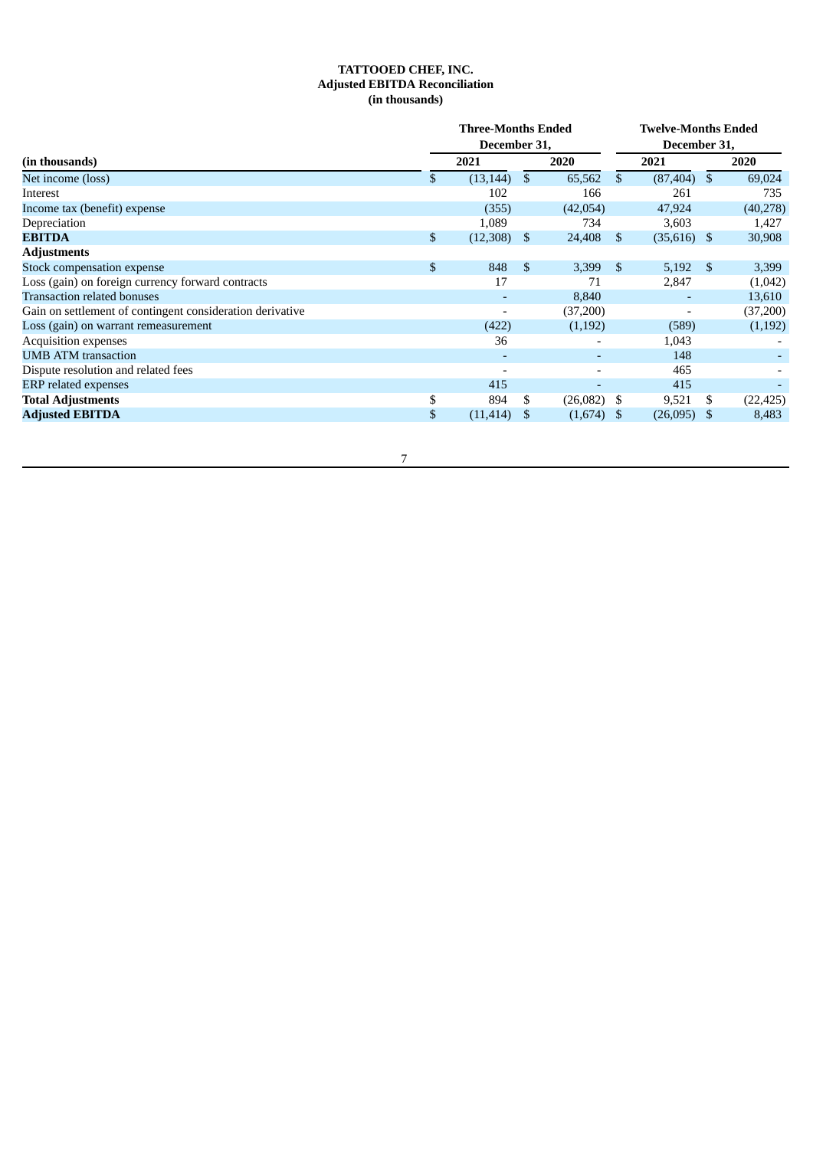## **TATTOOED CHEF, INC. Adjusted EBITDA Reconciliation (in thousands)**

|                                                           |    | <b>Three-Months Ended</b><br>December 31, |               |                          | <b>Twelve-Months Ended</b><br>December 31, |               |      |           |
|-----------------------------------------------------------|----|-------------------------------------------|---------------|--------------------------|--------------------------------------------|---------------|------|-----------|
| (in thousands)                                            |    | 2021                                      |               | 2020                     |                                            | 2021          |      | 2020      |
| Net income (loss)                                         | \$ | (13, 144)                                 | <sup>\$</sup> | 65,562                   | S.                                         | (87, 404)     | \$.  | 69,024    |
| Interest                                                  |    | 102                                       |               | 166                      |                                            | 261           |      | 735       |
| Income tax (benefit) expense                              |    | (355)                                     |               | (42,054)                 |                                            | 47,924        |      | (40, 278) |
| Depreciation                                              |    | 1,089                                     |               | 734                      |                                            | 3,603         |      | 1,427     |
| <b>EBITDA</b>                                             | \$ | (12,308)                                  | \$            | 24,408                   | <sup>\$</sup>                              | $(35,616)$ \$ |      | 30,908    |
| Adjustments                                               |    |                                           |               |                          |                                            |               |      |           |
| Stock compensation expense                                | \$ | 848                                       | <sup>\$</sup> | 3,399                    | <sup>\$</sup>                              | 5,192         | \$.  | 3,399     |
| Loss (gain) on foreign currency forward contracts         |    | 17                                        |               | 71                       |                                            | 2,847         |      | (1,042)   |
| Transaction related bonuses                               |    |                                           |               | 8,840                    |                                            | ٠             |      | 13,610    |
| Gain on settlement of contingent consideration derivative |    |                                           |               | (37,200)                 |                                            |               |      | (37,200)  |
| Loss (gain) on warrant remeasurement                      |    | (422)                                     |               | (1,192)                  |                                            | (589)         |      | (1,192)   |
| <b>Acquisition expenses</b>                               |    | 36                                        |               | $\overline{\phantom{a}}$ |                                            | 1,043         |      |           |
| <b>UMB ATM transaction</b>                                |    |                                           |               | ٠                        |                                            | 148           |      |           |
| Dispute resolution and related fees                       |    |                                           |               | $\overline{\phantom{a}}$ |                                            | 465           |      |           |
| <b>ERP</b> related expenses                               |    | 415                                       |               |                          |                                            | 415           |      |           |
| <b>Total Adjustments</b>                                  | \$ | 894                                       | S             | (26,082)                 | - \$                                       | 9,521         | S    | (22, 425) |
| <b>Adjusted EBITDA</b>                                    | \$ | (11, 414)                                 | -S            | $(1,674)$ \$             |                                            | (26,095)      | - \$ | 8,483     |
|                                                           |    |                                           |               |                          |                                            |               |      |           |

7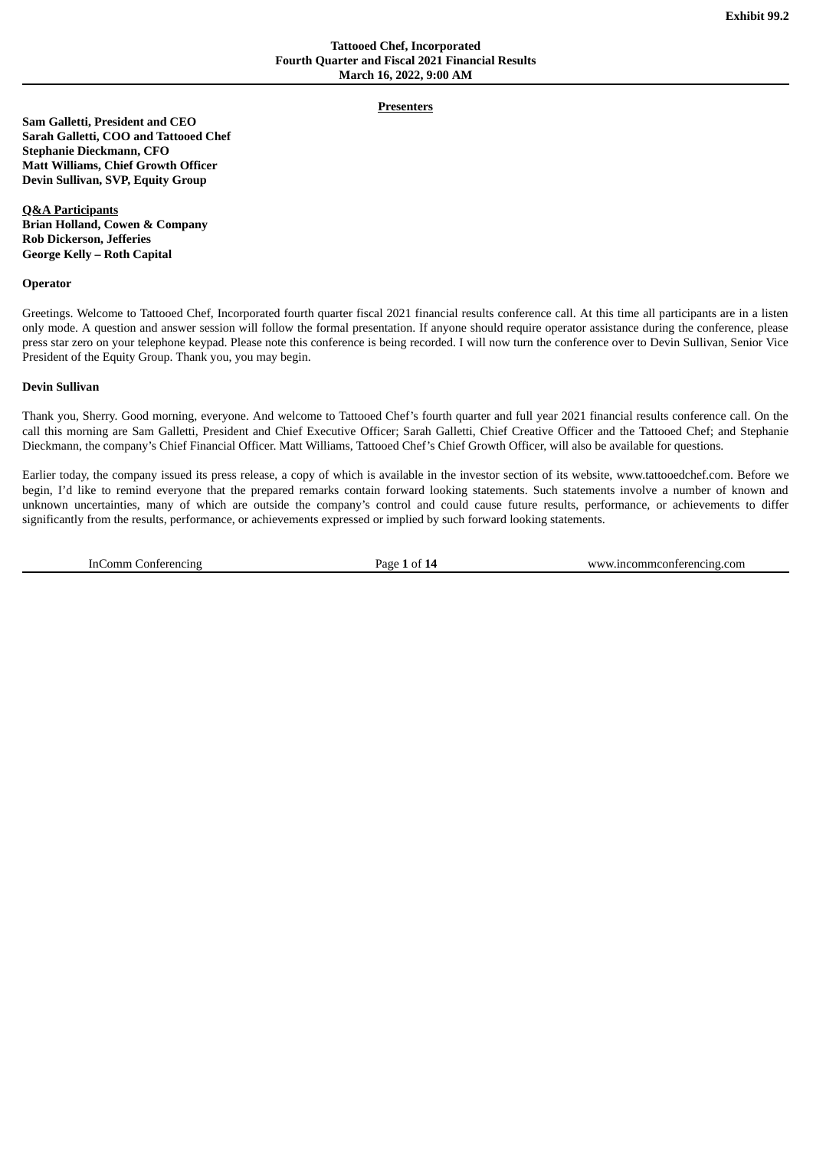## **Presenters**

<span id="page-10-0"></span>**Sam Galletti, President and CEO Sarah Galletti, COO and Tattooed Chef Stephanie Dieckmann, CFO Matt Williams, Chief Growth Officer Devin Sullivan, SVP, Equity Group**

**Q&A Participants Brian Holland, Cowen & Company Rob Dickerson, Jefferies George Kelly – Roth Capital**

## **Operator**

Greetings. Welcome to Tattooed Chef, Incorporated fourth quarter fiscal 2021 financial results conference call. At this time all participants are in a listen only mode. A question and answer session will follow the formal presentation. If anyone should require operator assistance during the conference, please press star zero on your telephone keypad. Please note this conference is being recorded. I will now turn the conference over to Devin Sullivan, Senior Vice President of the Equity Group. Thank you, you may begin.

### **Devin Sullivan**

Thank you, Sherry. Good morning, everyone. And welcome to Tattooed Chef's fourth quarter and full year 2021 financial results conference call. On the call this morning are Sam Galletti, President and Chief Executive Officer; Sarah Galletti, Chief Creative Officer and the Tattooed Chef; and Stephanie Dieckmann, the company's Chief Financial Officer. Matt Williams, Tattooed Chef's Chief Growth Officer, will also be available for questions.

Earlier today, the company issued its press release, a copy of which is available in the investor section of its website, www.tattooedchef.com. Before we begin, I'd like to remind everyone that the prepared remarks contain forward looking statements. Such statements involve a number of known and unknown uncertainties, many of which are outside the company's control and could cause future results, performance, or achievements to differ significantly from the results, performance, or achievements expressed or implied by such forward looking statements.

InComm Conferencing Page **1** of **14** www.incommconferencing.com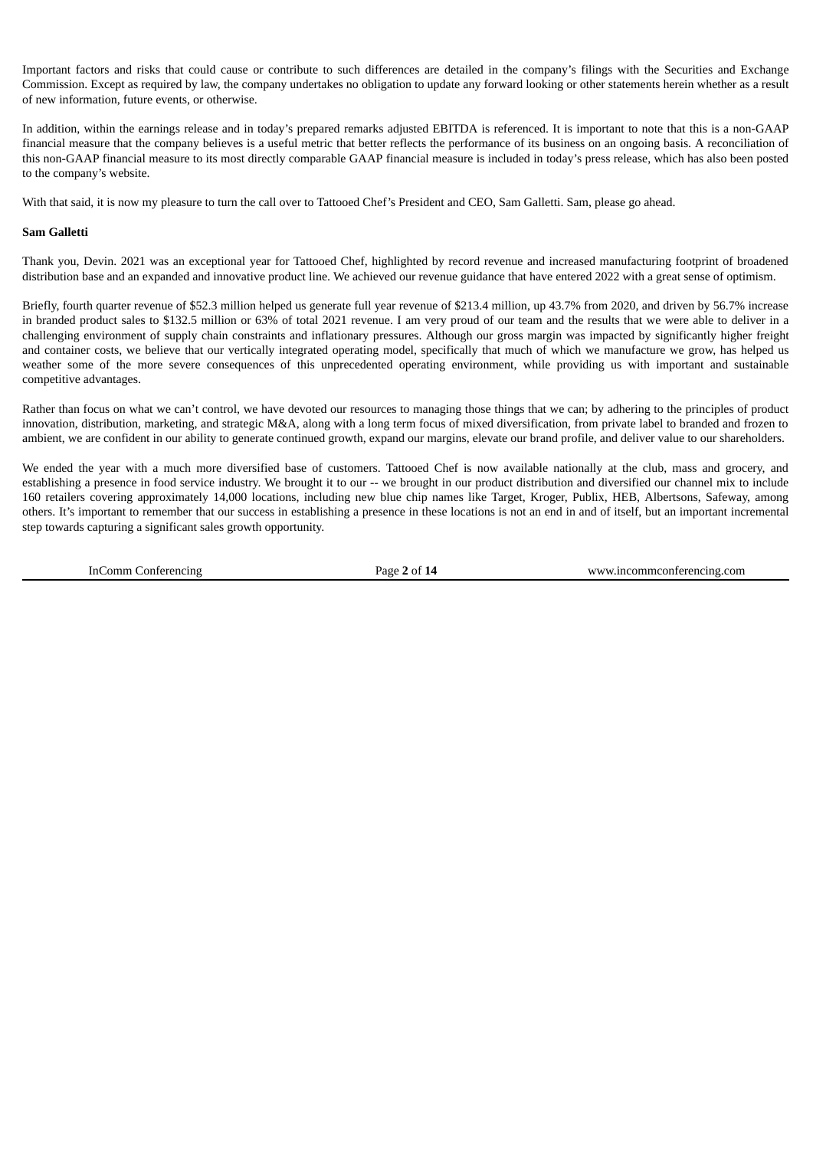Important factors and risks that could cause or contribute to such differences are detailed in the company's filings with the Securities and Exchange Commission. Except as required by law, the company undertakes no obligation to update any forward looking or other statements herein whether as a result of new information, future events, or otherwise.

In addition, within the earnings release and in today's prepared remarks adjusted EBITDA is referenced. It is important to note that this is a non-GAAP financial measure that the company believes is a useful metric that better reflects the performance of its business on an ongoing basis. A reconciliation of this non-GAAP financial measure to its most directly comparable GAAP financial measure is included in today's press release, which has also been posted to the company's website.

With that said, it is now my pleasure to turn the call over to Tattooed Chef's President and CEO, Sam Galletti. Sam, please go ahead.

#### **Sam Galletti**

Thank you, Devin. 2021 was an exceptional year for Tattooed Chef, highlighted by record revenue and increased manufacturing footprint of broadened distribution base and an expanded and innovative product line. We achieved our revenue guidance that have entered 2022 with a great sense of optimism.

Briefly, fourth quarter revenue of \$52.3 million helped us generate full year revenue of \$213.4 million, up 43.7% from 2020, and driven by 56.7% increase in branded product sales to \$132.5 million or 63% of total 2021 revenue. I am very proud of our team and the results that we were able to deliver in a challenging environment of supply chain constraints and inflationary pressures. Although our gross margin was impacted by significantly higher freight and container costs, we believe that our vertically integrated operating model, specifically that much of which we manufacture we grow, has helped us weather some of the more severe consequences of this unprecedented operating environment, while providing us with important and sustainable competitive advantages.

Rather than focus on what we can't control, we have devoted our resources to managing those things that we can; by adhering to the principles of product innovation, distribution, marketing, and strategic M&A, along with a long term focus of mixed diversification, from private label to branded and frozen to ambient, we are confident in our ability to generate continued growth, expand our margins, elevate our brand profile, and deliver value to our shareholders.

We ended the year with a much more diversified base of customers. Tattooed Chef is now available nationally at the club, mass and grocery, and establishing a presence in food service industry. We brought it to our -- we brought in our product distribution and diversified our channel mix to include 160 retailers covering approximately 14,000 locations, including new blue chip names like Target, Kroger, Publix, HEB, Albertsons, Safeway, among others. It's important to remember that our success in establishing a presence in these locations is not an end in and of itself, but an important incremental step towards capturing a significant sales growth opportunity.

InComm Conferencing Page **2** of **14** www.incommconferencing.com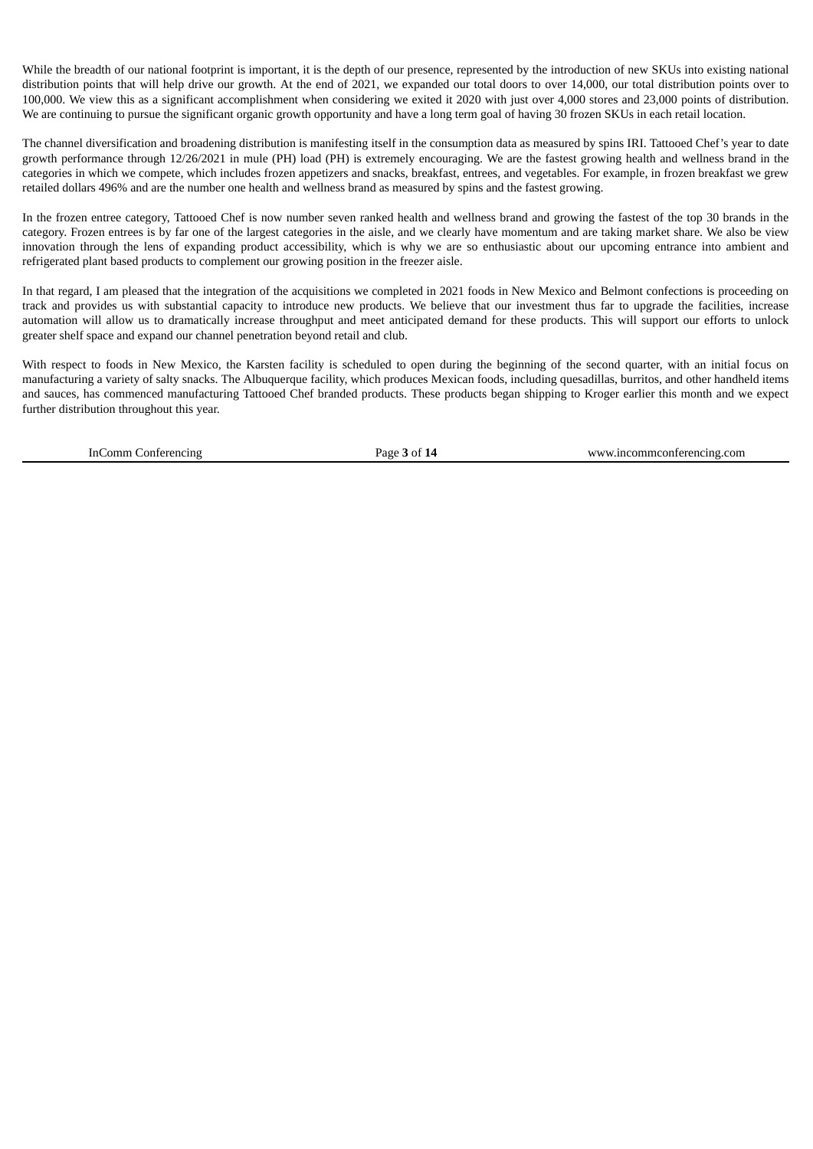While the breadth of our national footprint is important, it is the depth of our presence, represented by the introduction of new SKUs into existing national distribution points that will help drive our growth. At the end of 2021, we expanded our total doors to over 14,000, our total distribution points over to 100,000. We view this as a significant accomplishment when considering we exited it 2020 with just over 4,000 stores and 23,000 points of distribution. We are continuing to pursue the significant organic growth opportunity and have a long term goal of having 30 frozen SKUs in each retail location.

The channel diversification and broadening distribution is manifesting itself in the consumption data as measured by spins IRI. Tattooed Chef's year to date growth performance through 12/26/2021 in mule (PH) load (PH) is extremely encouraging. We are the fastest growing health and wellness brand in the categories in which we compete, which includes frozen appetizers and snacks, breakfast, entrees, and vegetables. For example, in frozen breakfast we grew retailed dollars 496% and are the number one health and wellness brand as measured by spins and the fastest growing.

In the frozen entree category, Tattooed Chef is now number seven ranked health and wellness brand and growing the fastest of the top 30 brands in the category. Frozen entrees is by far one of the largest categories in the aisle, and we clearly have momentum and are taking market share. We also be view innovation through the lens of expanding product accessibility, which is why we are so enthusiastic about our upcoming entrance into ambient and refrigerated plant based products to complement our growing position in the freezer aisle.

In that regard, I am pleased that the integration of the acquisitions we completed in 2021 foods in New Mexico and Belmont confections is proceeding on track and provides us with substantial capacity to introduce new products. We believe that our investment thus far to upgrade the facilities, increase automation will allow us to dramatically increase throughput and meet anticipated demand for these products. This will support our efforts to unlock greater shelf space and expand our channel penetration beyond retail and club.

With respect to foods in New Mexico, the Karsten facility is scheduled to open during the beginning of the second quarter, with an initial focus on manufacturing a variety of salty snacks. The Albuquerque facility, which produces Mexican foods, including quesadillas, burritos, and other handheld items and sauces, has commenced manufacturing Tattooed Chef branded products. These products began shipping to Kroger earlier this month and we expect further distribution throughout this year.

InComm Conferencing Page **3** of **14** www.incommconferencing.com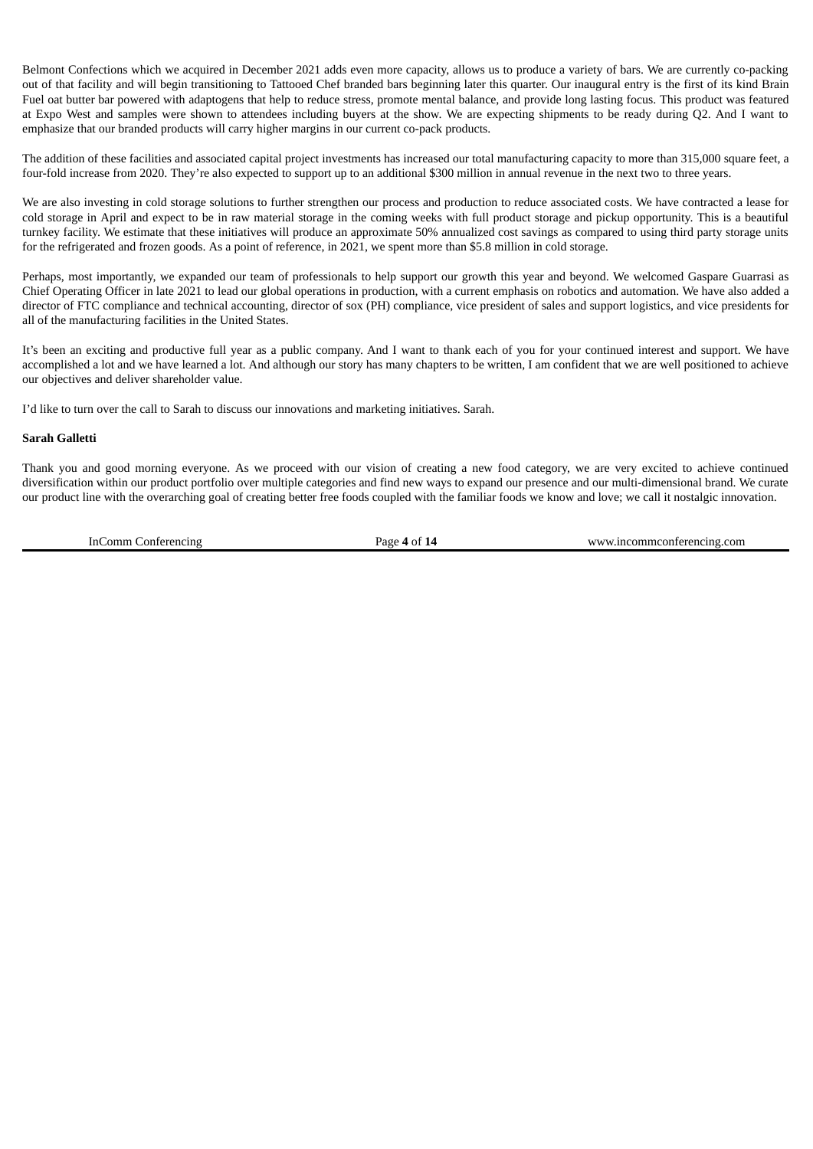Belmont Confections which we acquired in December 2021 adds even more capacity, allows us to produce a variety of bars. We are currently co-packing out of that facility and will begin transitioning to Tattooed Chef branded bars beginning later this quarter. Our inaugural entry is the first of its kind Brain Fuel oat butter bar powered with adaptogens that help to reduce stress, promote mental balance, and provide long lasting focus. This product was featured at Expo West and samples were shown to attendees including buyers at the show. We are expecting shipments to be ready during Q2. And I want to emphasize that our branded products will carry higher margins in our current co-pack products.

The addition of these facilities and associated capital project investments has increased our total manufacturing capacity to more than 315,000 square feet, a four-fold increase from 2020. They're also expected to support up to an additional \$300 million in annual revenue in the next two to three years.

We are also investing in cold storage solutions to further strengthen our process and production to reduce associated costs. We have contracted a lease for cold storage in April and expect to be in raw material storage in the coming weeks with full product storage and pickup opportunity. This is a beautiful turnkey facility. We estimate that these initiatives will produce an approximate 50% annualized cost savings as compared to using third party storage units for the refrigerated and frozen goods. As a point of reference, in 2021, we spent more than \$5.8 million in cold storage.

Perhaps, most importantly, we expanded our team of professionals to help support our growth this year and beyond. We welcomed Gaspare Guarrasi as Chief Operating Officer in late 2021 to lead our global operations in production, with a current emphasis on robotics and automation. We have also added a director of FTC compliance and technical accounting, director of sox (PH) compliance, vice president of sales and support logistics, and vice presidents for all of the manufacturing facilities in the United States.

It's been an exciting and productive full year as a public company. And I want to thank each of you for your continued interest and support. We have accomplished a lot and we have learned a lot. And although our story has many chapters to be written, I am confident that we are well positioned to achieve our objectives and deliver shareholder value.

I'd like to turn over the call to Sarah to discuss our innovations and marketing initiatives. Sarah.

#### **Sarah Galletti**

Thank you and good morning everyone. As we proceed with our vision of creating a new food category, we are very excited to achieve continued diversification within our product portfolio over multiple categories and find new ways to expand our presence and our multi-dimensional brand. We curate our product line with the overarching goal of creating better free foods coupled with the familiar foods we know and love; we call it nostalgic innovation.

InComm Conferencing Page **4** of **14** www.incommconferencing.com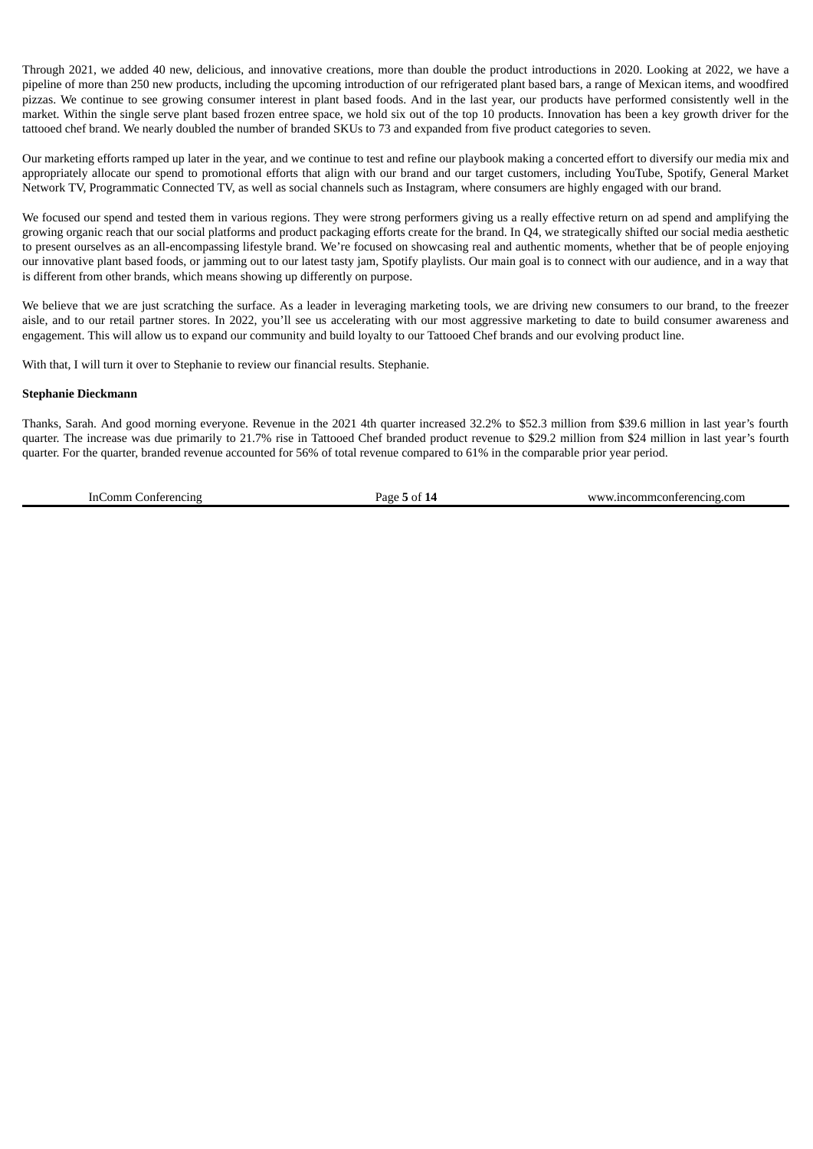Through 2021, we added 40 new, delicious, and innovative creations, more than double the product introductions in 2020. Looking at 2022, we have a pipeline of more than 250 new products, including the upcoming introduction of our refrigerated plant based bars, a range of Mexican items, and woodfired pizzas. We continue to see growing consumer interest in plant based foods. And in the last year, our products have performed consistently well in the market. Within the single serve plant based frozen entree space, we hold six out of the top 10 products. Innovation has been a key growth driver for the tattooed chef brand. We nearly doubled the number of branded SKUs to 73 and expanded from five product categories to seven.

Our marketing efforts ramped up later in the year, and we continue to test and refine our playbook making a concerted effort to diversify our media mix and appropriately allocate our spend to promotional efforts that align with our brand and our target customers, including YouTube, Spotify, General Market Network TV, Programmatic Connected TV, as well as social channels such as Instagram, where consumers are highly engaged with our brand.

We focused our spend and tested them in various regions. They were strong performers giving us a really effective return on ad spend and amplifying the growing organic reach that our social platforms and product packaging efforts create for the brand. In Q4, we strategically shifted our social media aesthetic to present ourselves as an all-encompassing lifestyle brand. We're focused on showcasing real and authentic moments, whether that be of people enjoying our innovative plant based foods, or jamming out to our latest tasty jam, Spotify playlists. Our main goal is to connect with our audience, and in a way that is different from other brands, which means showing up differently on purpose.

We believe that we are just scratching the surface. As a leader in leveraging marketing tools, we are driving new consumers to our brand, to the freezer aisle, and to our retail partner stores. In 2022, you'll see us accelerating with our most aggressive marketing to date to build consumer awareness and engagement. This will allow us to expand our community and build loyalty to our Tattooed Chef brands and our evolving product line.

With that, I will turn it over to Stephanie to review our financial results. Stephanie.

#### **Stephanie Dieckmann**

Thanks, Sarah. And good morning everyone. Revenue in the 2021 4th quarter increased 32.2% to \$52.3 million from \$39.6 million in last year's fourth quarter. The increase was due primarily to 21.7% rise in Tattooed Chef branded product revenue to \$29.2 million from \$24 million in last year's fourth quarter. For the quarter, branded revenue accounted for 56% of total revenue compared to 61% in the comparable prior year period.

InComm Conferencing Page **5** of **14** www.incommconferencing.com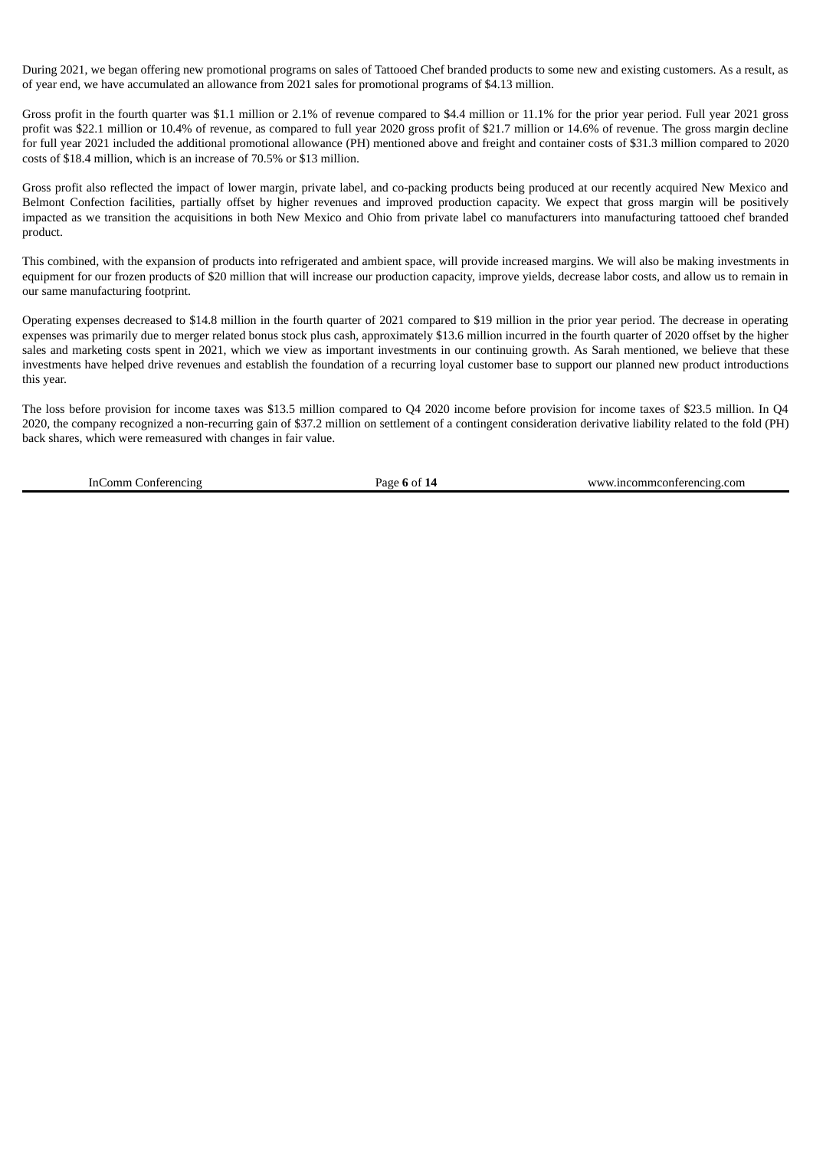During 2021, we began offering new promotional programs on sales of Tattooed Chef branded products to some new and existing customers. As a result, as of year end, we have accumulated an allowance from 2021 sales for promotional programs of \$4.13 million.

Gross profit in the fourth quarter was \$1.1 million or 2.1% of revenue compared to \$4.4 million or 11.1% for the prior year period. Full year 2021 gross profit was \$22.1 million or 10.4% of revenue, as compared to full year 2020 gross profit of \$21.7 million or 14.6% of revenue. The gross margin decline for full year 2021 included the additional promotional allowance (PH) mentioned above and freight and container costs of \$31.3 million compared to 2020 costs of \$18.4 million, which is an increase of 70.5% or \$13 million.

Gross profit also reflected the impact of lower margin, private label, and co-packing products being produced at our recently acquired New Mexico and Belmont Confection facilities, partially offset by higher revenues and improved production capacity. We expect that gross margin will be positively impacted as we transition the acquisitions in both New Mexico and Ohio from private label co manufacturers into manufacturing tattooed chef branded product.

This combined, with the expansion of products into refrigerated and ambient space, will provide increased margins. We will also be making investments in equipment for our frozen products of \$20 million that will increase our production capacity, improve yields, decrease labor costs, and allow us to remain in our same manufacturing footprint.

Operating expenses decreased to \$14.8 million in the fourth quarter of 2021 compared to \$19 million in the prior year period. The decrease in operating expenses was primarily due to merger related bonus stock plus cash, approximately \$13.6 million incurred in the fourth quarter of 2020 offset by the higher sales and marketing costs spent in 2021, which we view as important investments in our continuing growth. As Sarah mentioned, we believe that these investments have helped drive revenues and establish the foundation of a recurring loyal customer base to support our planned new product introductions this year.

The loss before provision for income taxes was \$13.5 million compared to Q4 2020 income before provision for income taxes of \$23.5 million. In Q4 2020, the company recognized a non-recurring gain of \$37.2 million on settlement of a contingent consideration derivative liability related to the fold (PH) back shares, which were remeasured with changes in fair value.

InComm Conferencing Page **6** of **14** www.incommconferencing.com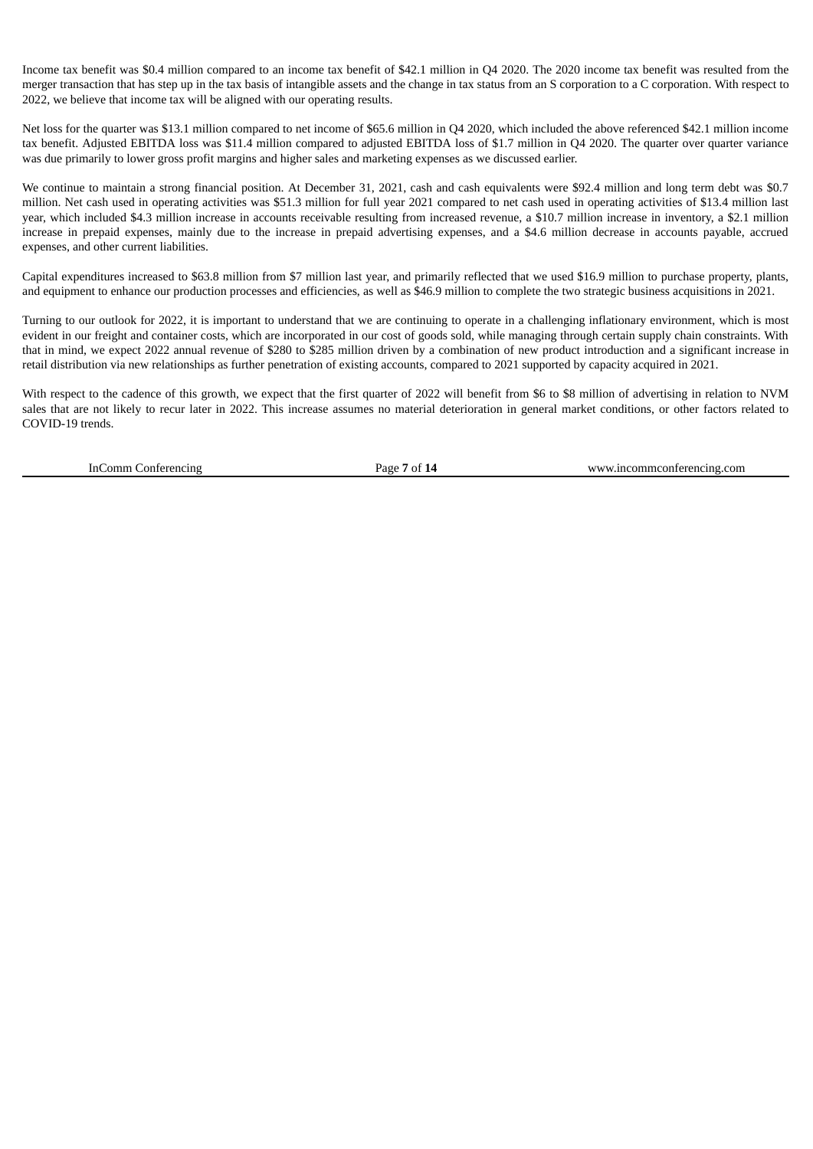Income tax benefit was \$0.4 million compared to an income tax benefit of \$42.1 million in Q4 2020. The 2020 income tax benefit was resulted from the merger transaction that has step up in the tax basis of intangible assets and the change in tax status from an S corporation to a C corporation. With respect to 2022, we believe that income tax will be aligned with our operating results.

Net loss for the quarter was \$13.1 million compared to net income of \$65.6 million in Q4 2020, which included the above referenced \$42.1 million income tax benefit. Adjusted EBITDA loss was \$11.4 million compared to adjusted EBITDA loss of \$1.7 million in Q4 2020. The quarter over quarter variance was due primarily to lower gross profit margins and higher sales and marketing expenses as we discussed earlier.

We continue to maintain a strong financial position. At December 31, 2021, cash and cash equivalents were \$92.4 million and long term debt was \$0.7 million. Net cash used in operating activities was \$51.3 million for full year 2021 compared to net cash used in operating activities of \$13.4 million last year, which included \$4.3 million increase in accounts receivable resulting from increased revenue, a \$10.7 million increase in inventory, a \$2.1 million increase in prepaid expenses, mainly due to the increase in prepaid advertising expenses, and a \$4.6 million decrease in accounts payable, accrued expenses, and other current liabilities.

Capital expenditures increased to \$63.8 million from \$7 million last year, and primarily reflected that we used \$16.9 million to purchase property, plants, and equipment to enhance our production processes and efficiencies, as well as \$46.9 million to complete the two strategic business acquisitions in 2021.

Turning to our outlook for 2022, it is important to understand that we are continuing to operate in a challenging inflationary environment, which is most evident in our freight and container costs, which are incorporated in our cost of goods sold, while managing through certain supply chain constraints. With that in mind, we expect 2022 annual revenue of \$280 to \$285 million driven by a combination of new product introduction and a significant increase in retail distribution via new relationships as further penetration of existing accounts, compared to 2021 supported by capacity acquired in 2021.

With respect to the cadence of this growth, we expect that the first quarter of 2022 will benefit from \$6 to \$8 million of advertising in relation to NVM sales that are not likely to recur later in 2022. This increase assumes no material deterioration in general market conditions, or other factors related to COVID-19 trends.

|  | InComm Conferencing |
|--|---------------------|
|--|---------------------|

InComm Conferencing Page **7** of **14** www.incommconferencing.com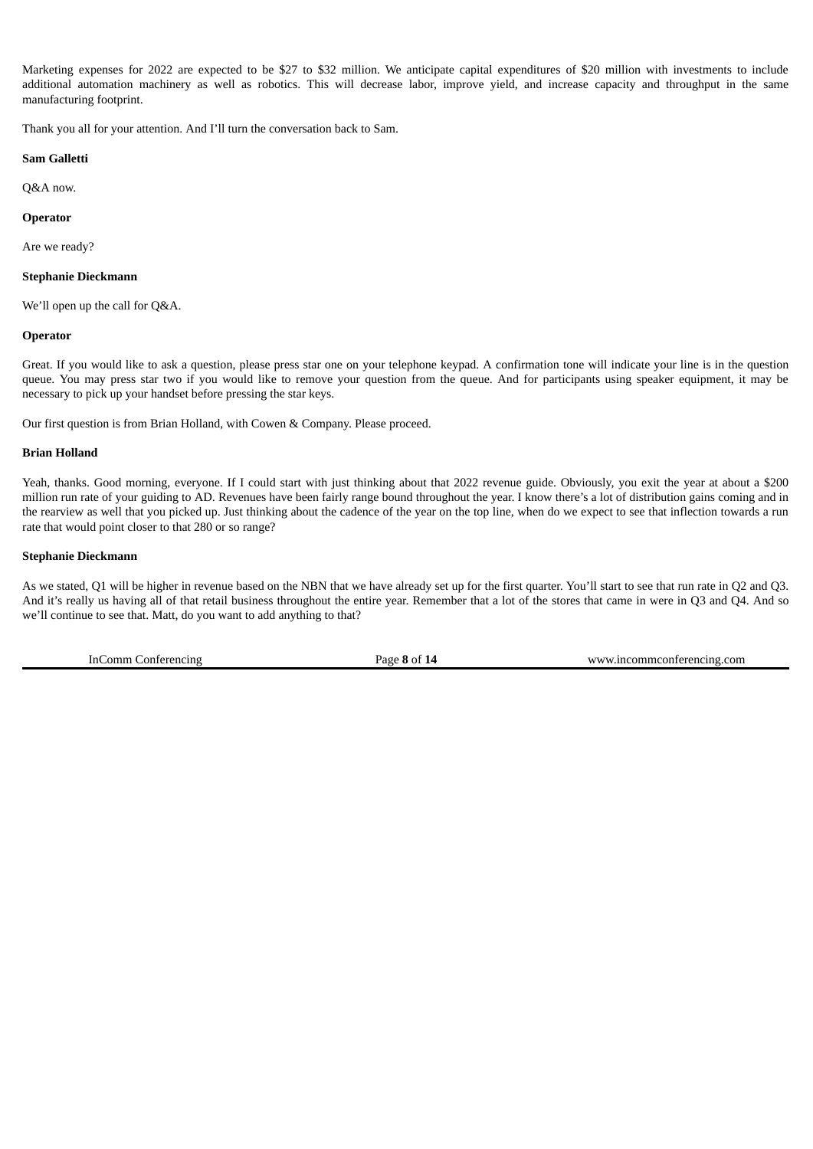Marketing expenses for 2022 are expected to be \$27 to \$32 million. We anticipate capital expenditures of \$20 million with investments to include additional automation machinery as well as robotics. This will decrease labor, improve yield, and increase capacity and throughput in the same manufacturing footprint.

Thank you all for your attention. And I'll turn the conversation back to Sam.

### **Sam Galletti**

Q&A now.

### **Operator**

Are we ready?

### **Stephanie Dieckmann**

We'll open up the call for Q&A.

#### **Operator**

Great. If you would like to ask a question, please press star one on your telephone keypad. A confirmation tone will indicate your line is in the question queue. You may press star two if you would like to remove your question from the queue. And for participants using speaker equipment, it may be necessary to pick up your handset before pressing the star keys.

Our first question is from Brian Holland, with Cowen & Company. Please proceed.

### **Brian Holland**

Yeah, thanks. Good morning, everyone. If I could start with just thinking about that 2022 revenue guide. Obviously, you exit the year at about a \$200 million run rate of your guiding to AD. Revenues have been fairly range bound throughout the year. I know there's a lot of distribution gains coming and in the rearview as well that you picked up. Just thinking about the cadence of the year on the top line, when do we expect to see that inflection towards a run rate that would point closer to that 280 or so range?

## **Stephanie Dieckmann**

As we stated, Q1 will be higher in revenue based on the NBN that we have already set up for the first quarter. You'll start to see that run rate in Q2 and Q3. And it's really us having all of that retail business throughout the entire year. Remember that a lot of the stores that came in were in Q3 and Q4. And so we'll continue to see that. Matt, do you want to add anything to that?

InComm Conferencing Page **8** of **14** www.incommconferencing.com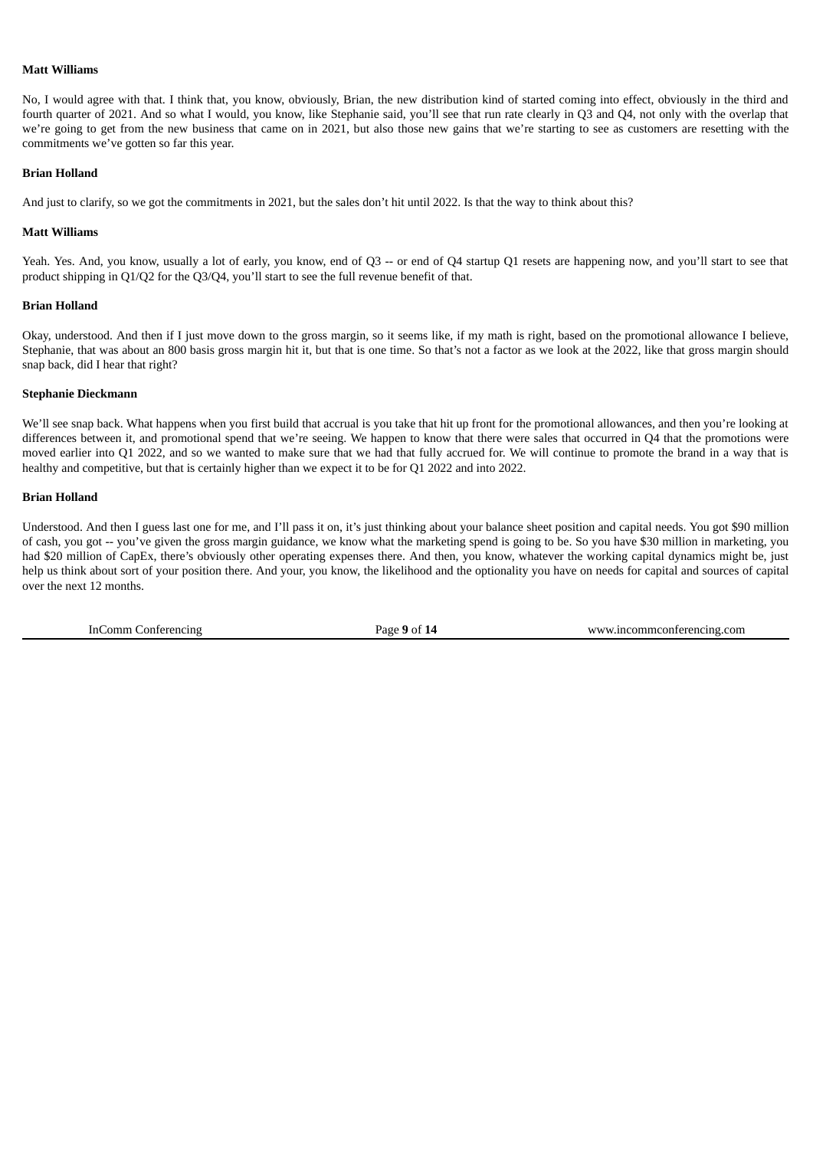#### **Matt Williams**

No, I would agree with that. I think that, you know, obviously, Brian, the new distribution kind of started coming into effect, obviously in the third and fourth quarter of 2021. And so what I would, you know, like Stephanie said, you'll see that run rate clearly in Q3 and Q4, not only with the overlap that we're going to get from the new business that came on in 2021, but also those new gains that we're starting to see as customers are resetting with the commitments we've gotten so far this year.

#### **Brian Holland**

And just to clarify, so we got the commitments in 2021, but the sales don't hit until 2022. Is that the way to think about this?

#### **Matt Williams**

Yeah. Yes. And, you know, usually a lot of early, you know, end of Q3 -- or end of Q4 startup Q1 resets are happening now, and you'll start to see that product shipping in Q1/Q2 for the Q3/Q4, you'll start to see the full revenue benefit of that.

#### **Brian Holland**

Okay, understood. And then if I just move down to the gross margin, so it seems like, if my math is right, based on the promotional allowance I believe, Stephanie, that was about an 800 basis gross margin hit it, but that is one time. So that's not a factor as we look at the 2022, like that gross margin should snap back, did I hear that right?

## **Stephanie Dieckmann**

We'll see snap back. What happens when you first build that accrual is you take that hit up front for the promotional allowances, and then you're looking at differences between it, and promotional spend that we're seeing. We happen to know that there were sales that occurred in Q4 that the promotions were moved earlier into Q1 2022, and so we wanted to make sure that we had that fully accrued for. We will continue to promote the brand in a way that is healthy and competitive, but that is certainly higher than we expect it to be for Q1 2022 and into 2022.

#### **Brian Holland**

Understood. And then I guess last one for me, and I'll pass it on, it's just thinking about your balance sheet position and capital needs. You got \$90 million of cash, you got -- you've given the gross margin guidance, we know what the marketing spend is going to be. So you have \$30 million in marketing, you had \$20 million of CapEx, there's obviously other operating expenses there. And then, you know, whatever the working capital dynamics might be, just help us think about sort of your position there. And your, you know, the likelihood and the optionality you have on needs for capital and sources of capital over the next 12 months.

InComm Conferencing Page **9** of **14** www.incommconferencing.com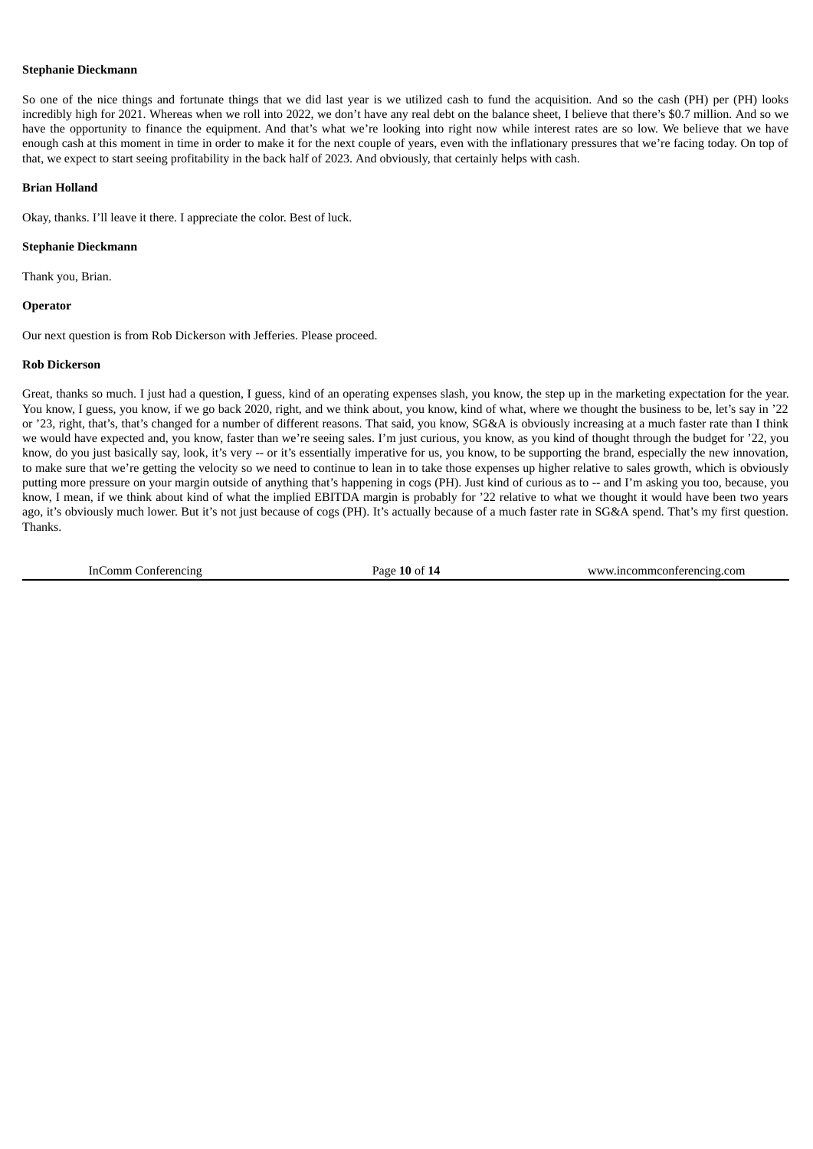## **Stephanie Dieckmann**

So one of the nice things and fortunate things that we did last year is we utilized cash to fund the acquisition. And so the cash (PH) per (PH) looks incredibly high for 2021. Whereas when we roll into 2022, we don't have any real debt on the balance sheet, I believe that there's \$0.7 million. And so we have the opportunity to finance the equipment. And that's what we're looking into right now while interest rates are so low. We believe that we have enough cash at this moment in time in order to make it for the next couple of years, even with the inflationary pressures that we're facing today. On top of that, we expect to start seeing profitability in the back half of 2023. And obviously, that certainly helps with cash.

#### **Brian Holland**

Okay, thanks. I'll leave it there. I appreciate the color. Best of luck.

#### **Stephanie Dieckmann**

Thank you, Brian.

#### **Operator**

Our next question is from Rob Dickerson with Jefferies. Please proceed.

## **Rob Dickerson**

Great, thanks so much. I just had a question, I guess, kind of an operating expenses slash, you know, the step up in the marketing expectation for the year. You know, I guess, you know, if we go back 2020, right, and we think about, you know, kind of what, where we thought the business to be, let's say in '22 or '23, right, that's, that's changed for a number of different reasons. That said, you know, SG&A is obviously increasing at a much faster rate than I think we would have expected and, you know, faster than we're seeing sales. I'm just curious, you know, as you kind of thought through the budget for '22, you know, do you just basically say, look, it's very -- or it's essentially imperative for us, you know, to be supporting the brand, especially the new innovation, to make sure that we're getting the velocity so we need to continue to lean in to take those expenses up higher relative to sales growth, which is obviously putting more pressure on your margin outside of anything that's happening in cogs (PH). Just kind of curious as to -- and I'm asking you too, because, you know, I mean, if we think about kind of what the implied EBITDA margin is probably for '22 relative to what we thought it would have been two years ago, it's obviously much lower. But it's not just because of cogs (PH). It's actually because of a much faster rate in SG&A spend. That's my first question. Thanks.

InComm Conferencing Page **10** of **14** www.incommconferencing.com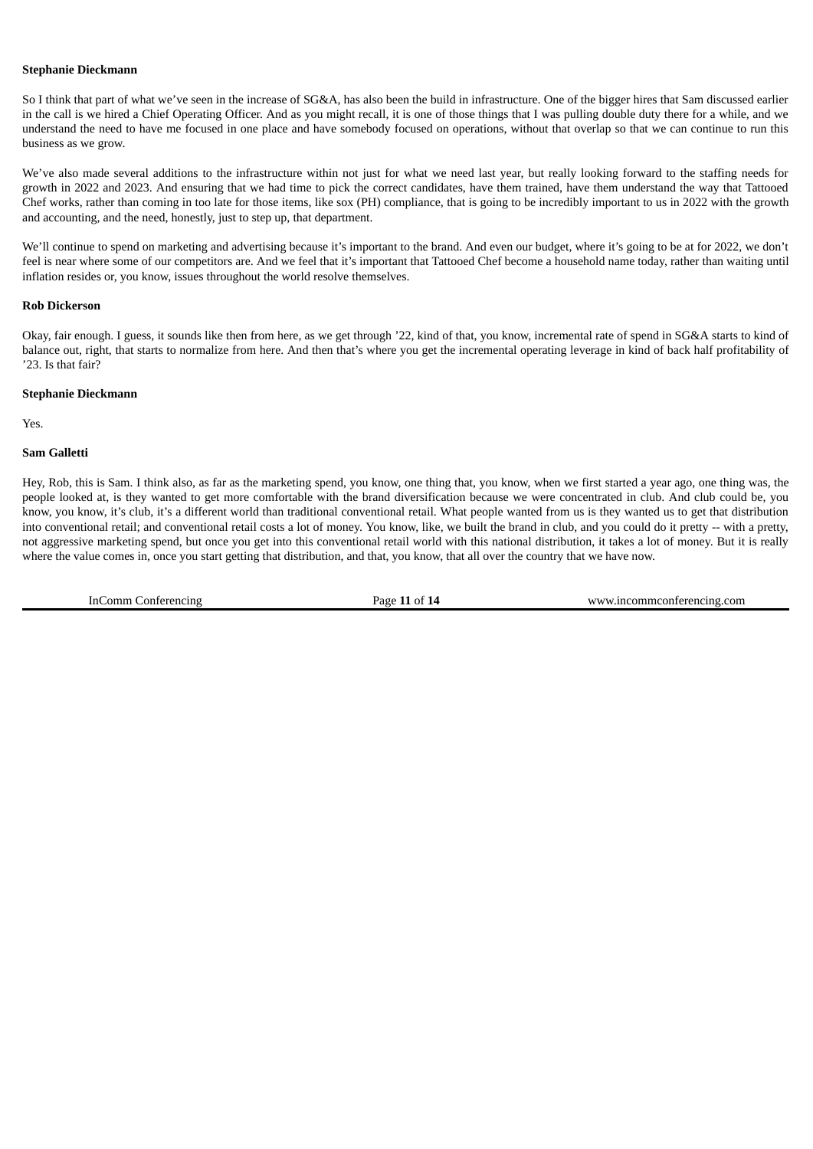#### **Stephanie Dieckmann**

So I think that part of what we've seen in the increase of SG&A, has also been the build in infrastructure. One of the bigger hires that Sam discussed earlier in the call is we hired a Chief Operating Officer. And as you might recall, it is one of those things that I was pulling double duty there for a while, and we understand the need to have me focused in one place and have somebody focused on operations, without that overlap so that we can continue to run this business as we grow.

We've also made several additions to the infrastructure within not just for what we need last year, but really looking forward to the staffing needs for growth in 2022 and 2023. And ensuring that we had time to pick the correct candidates, have them trained, have them understand the way that Tattooed Chef works, rather than coming in too late for those items, like sox (PH) compliance, that is going to be incredibly important to us in 2022 with the growth and accounting, and the need, honestly, just to step up, that department.

We'll continue to spend on marketing and advertising because it's important to the brand. And even our budget, where it's going to be at for 2022, we don't feel is near where some of our competitors are. And we feel that it's important that Tattooed Chef become a household name today, rather than waiting until inflation resides or, you know, issues throughout the world resolve themselves.

#### **Rob Dickerson**

Okay, fair enough. I guess, it sounds like then from here, as we get through '22, kind of that, you know, incremental rate of spend in SG&A starts to kind of balance out, right, that starts to normalize from here. And then that's where you get the incremental operating leverage in kind of back half profitability of '23. Is that fair?

#### **Stephanie Dieckmann**

Yes.

## **Sam Galletti**

Hey, Rob, this is Sam. I think also, as far as the marketing spend, you know, one thing that, you know, when we first started a year ago, one thing was, the people looked at, is they wanted to get more comfortable with the brand diversification because we were concentrated in club. And club could be, you know, you know, it's club, it's a different world than traditional conventional retail. What people wanted from us is they wanted us to get that distribution into conventional retail; and conventional retail costs a lot of money. You know, like, we built the brand in club, and you could do it pretty -- with a pretty, not aggressive marketing spend, but once you get into this conventional retail world with this national distribution, it takes a lot of money. But it is really where the value comes in, once you start getting that distribution, and that, you know, that all over the country that we have now.

| InComm<br>. Conferencing | . of 14<br>Page | www.incommconferencing.com |
|--------------------------|-----------------|----------------------------|
|--------------------------|-----------------|----------------------------|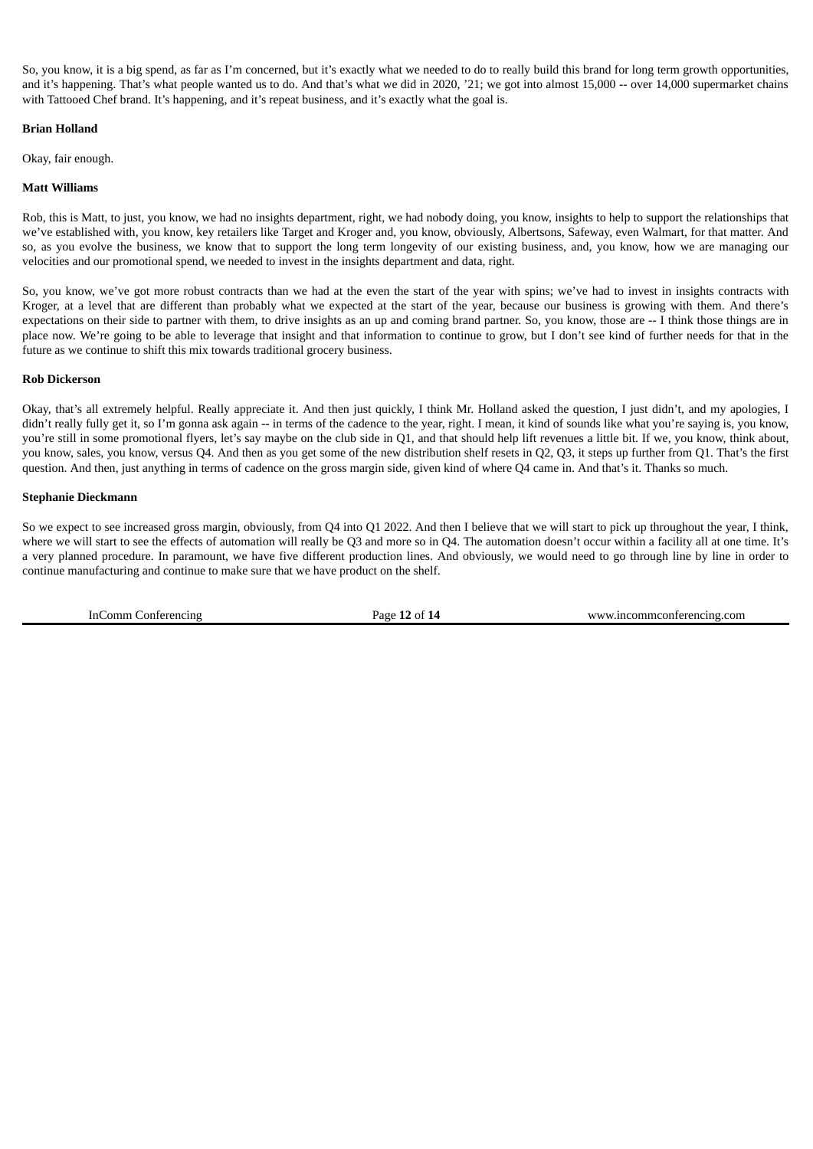So, you know, it is a big spend, as far as I'm concerned, but it's exactly what we needed to do to really build this brand for long term growth opportunities, and it's happening. That's what people wanted us to do. And that's what we did in 2020, '21; we got into almost 15,000 -- over 14,000 supermarket chains with Tattooed Chef brand. It's happening, and it's repeat business, and it's exactly what the goal is.

## **Brian Holland**

Okay, fair enough.

## **Matt Williams**

Rob, this is Matt, to just, you know, we had no insights department, right, we had nobody doing, you know, insights to help to support the relationships that we've established with, you know, key retailers like Target and Kroger and, you know, obviously, Albertsons, Safeway, even Walmart, for that matter. And so, as you evolve the business, we know that to support the long term longevity of our existing business, and, you know, how we are managing our velocities and our promotional spend, we needed to invest in the insights department and data, right.

So, you know, we've got more robust contracts than we had at the even the start of the year with spins; we've had to invest in insights contracts with Kroger, at a level that are different than probably what we expected at the start of the year, because our business is growing with them. And there's expectations on their side to partner with them, to drive insights as an up and coming brand partner. So, you know, those are -- I think those things are in place now. We're going to be able to leverage that insight and that information to continue to grow, but I don't see kind of further needs for that in the future as we continue to shift this mix towards traditional grocery business.

## **Rob Dickerson**

Okay, that's all extremely helpful. Really appreciate it. And then just quickly, I think Mr. Holland asked the question, I just didn't, and my apologies, I didn't really fully get it, so I'm gonna ask again -- in terms of the cadence to the year, right. I mean, it kind of sounds like what you're saying is, you know, you're still in some promotional flyers, let's say maybe on the club side in Q1, and that should help lift revenues a little bit. If we, you know, think about, you know, sales, you know, versus Q4. And then as you get some of the new distribution shelf resets in Q2, Q3, it steps up further from Q1. That's the first question. And then, just anything in terms of cadence on the gross margin side, given kind of where Q4 came in. And that's it. Thanks so much.

## **Stephanie Dieckmann**

So we expect to see increased gross margin, obviously, from Q4 into Q1 2022. And then I believe that we will start to pick up throughout the year, I think, where we will start to see the effects of automation will really be Q3 and more so in Q4. The automation doesn't occur within a facility all at one time. It's a very planned procedure. In paramount, we have five different production lines. And obviously, we would need to go through line by line in order to continue manufacturing and continue to make sure that we have product on the shelf.

InComm Conferencing Page **12** of **14** www.incommconferencing.com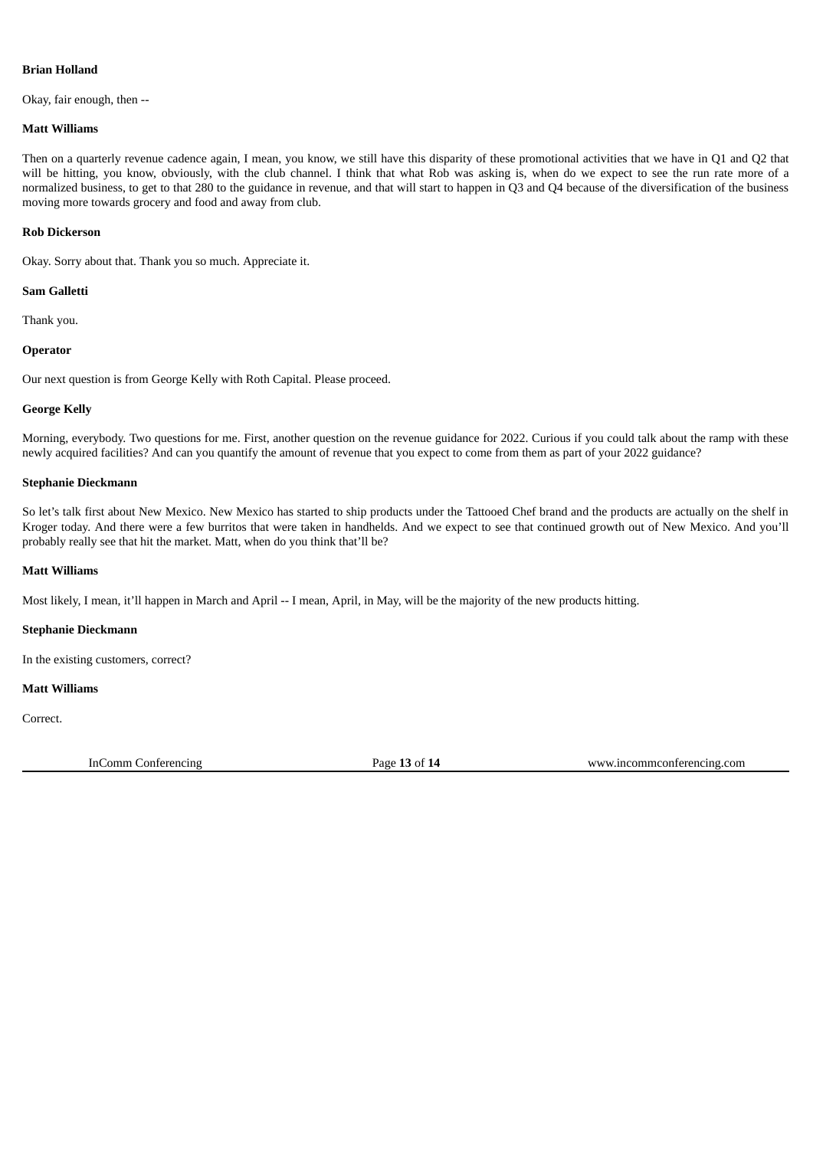## **Brian Holland**

Okay, fair enough, then --

## **Matt Williams**

Then on a quarterly revenue cadence again, I mean, you know, we still have this disparity of these promotional activities that we have in Q1 and Q2 that will be hitting, you know, obviously, with the club channel. I think that what Rob was asking is, when do we expect to see the run rate more of a normalized business, to get to that 280 to the guidance in revenue, and that will start to happen in Q3 and Q4 because of the diversification of the business moving more towards grocery and food and away from club.

## **Rob Dickerson**

Okay. Sorry about that. Thank you so much. Appreciate it.

#### **Sam Galletti**

Thank you.

# **Operator**

Our next question is from George Kelly with Roth Capital. Please proceed.

## **George Kelly**

Morning, everybody. Two questions for me. First, another question on the revenue guidance for 2022. Curious if you could talk about the ramp with these newly acquired facilities? And can you quantify the amount of revenue that you expect to come from them as part of your 2022 guidance?

## **Stephanie Dieckmann**

So let's talk first about New Mexico. New Mexico has started to ship products under the Tattooed Chef brand and the products are actually on the shelf in Kroger today. And there were a few burritos that were taken in handhelds. And we expect to see that continued growth out of New Mexico. And you'll probably really see that hit the market. Matt, when do you think that'll be?

#### **Matt Williams**

Most likely, I mean, it'll happen in March and April -- I mean, April, in May, will be the majority of the new products hitting.

## **Stephanie Dieckmann**

In the existing customers, correct?

## **Matt Williams**

Correct.

InComm Conferencing Page **13** of **14** www.incommconferencing.com